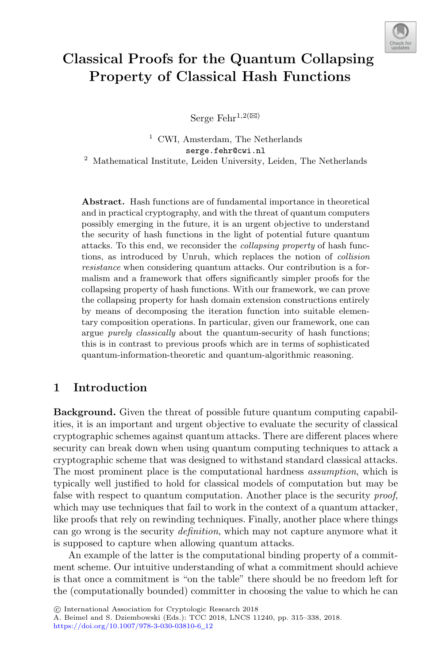

# **Classical Proofs for the Quantum Collapsing Property of Classical Hash Functions**

Serge Fehr<sup>1,2( $\boxtimes$ )</sup>

<sup>1</sup> CWI, Amsterdam, The Netherlands serge.fehr@cwi.nl  $\frac{2}{3}$  Mathematical Institute, Leiden University, Leiden, The Netherlands

**Abstract.** Hash functions are of fundamental importance in theoretical and in practical cryptography, and with the threat of quantum computers possibly emerging in the future, it is an urgent objective to understand the security of hash functions in the light of potential future quantum attacks. To this end, we reconsider the *collapsing property* of hash functions, as introduced by Unruh, which replaces the notion of *collision resistance* when considering quantum attacks. Our contribution is a formalism and a framework that offers significantly simpler proofs for the collapsing property of hash functions. With our framework, we can prove the collapsing property for hash domain extension constructions entirely by means of decomposing the iteration function into suitable elementary composition operations. In particular, given our framework, one can argue *purely classically* about the quantum-security of hash functions; this is in contrast to previous proofs which are in terms of sophisticated quantum-information-theoretic and quantum-algorithmic reasoning.

# **1 Introduction**

**Background.** Given the threat of possible future quantum computing capabilities, it is an important and urgent objective to evaluate the security of classical cryptographic schemes against quantum attacks. There are different places where security can break down when using quantum computing techniques to attack a cryptographic scheme that was designed to withstand standard classical attacks. The most prominent place is the computational hardness *assumption*, which is typically well justified to hold for classical models of computation but may be false with respect to quantum computation. Another place is the security *proof*, which may use techniques that fail to work in the context of a quantum attacker, like proofs that rely on rewinding techniques. Finally, another place where things can go wrong is the security *definition*, which may not capture anymore what it is supposed to capture when allowing quantum attacks.

An example of the latter is the computational binding property of a commitment scheme. Our intuitive understanding of what a commitment should achieve is that once a commitment is "on the table" there should be no freedom left for the (computationally bounded) committer in choosing the value to which he can

[https://doi.org/10.1007/978-3-030-03810-6](https://doi.org/10.1007/978-3-030-03810-6_12)\_12

A. Beimel and S. Dziembowski (Eds.): TCC 2018, LNCS 11240, pp. 315–338, 2018.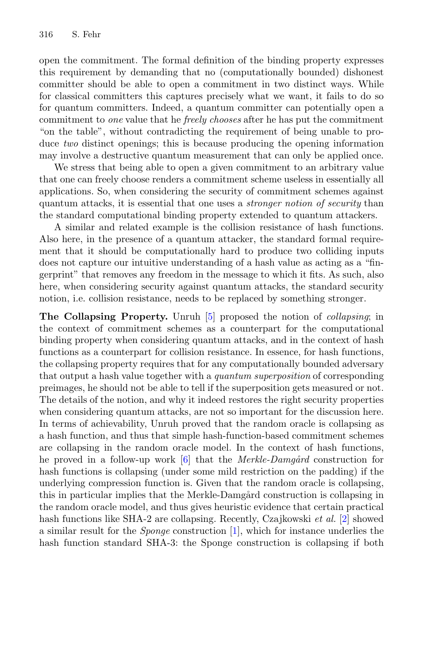open the commitment. The formal definition of the binding property expresses this requirement by demanding that no (computationally bounded) dishonest committer should be able to open a commitment in two distinct ways. While for classical committers this captures precisely what we want, it fails to do so for quantum committers. Indeed, a quantum committer can potentially open a commitment to *one* value that he *freely chooses* after he has put the commitment "on the table", without contradicting the requirement of being unable to produce *two* distinct openings; this is because producing the opening information may involve a destructive quantum measurement that can only be applied once.

We stress that being able to open a given commitment to an arbitrary value that one can freely choose renders a commitment scheme useless in essentially all applications. So, when considering the security of commitment schemes against quantum attacks, it is essential that one uses a *stronger notion of security* than the standard computational binding property extended to quantum attackers.

A similar and related example is the collision resistance of hash functions. Also here, in the presence of a quantum attacker, the standard formal requirement that it should be computationally hard to produce two colliding inputs does not capture our intuitive understanding of a hash value as acting as a "fingerprint" that removes any freedom in the message to which it fits. As such, also here, when considering security against quantum attacks, the standard security notion, i.e. collision resistance, needs to be replaced by something stronger.

**The Collapsing Property.** Unruh [\[5](#page-23-0)] proposed the notion of *collapsing*; in the context of commitment schemes as a counterpart for the computational binding property when considering quantum attacks, and in the context of hash functions as a counterpart for collision resistance. In essence, for hash functions, the collapsing property requires that for any computationally bounded adversary that output a hash value together with a *quantum superposition* of corresponding preimages, he should not be able to tell if the superposition gets measured or not. The details of the notion, and why it indeed restores the right security properties when considering quantum attacks, are not so important for the discussion here. In terms of achievability, Unruh proved that the random oracle is collapsing as a hash function, and thus that simple hash-function-based commitment schemes are collapsing in the random oracle model. In the context of hash functions, he proved in a follow-up work [\[6\]](#page-23-1) that the *Merkle-Damgård* construction for hash functions is collapsing (under some mild restriction on the padding) if the underlying compression function is. Given that the random oracle is collapsing, this in particular implies that the Merkle-Damgård construction is collapsing in the random oracle model, and thus gives heuristic evidence that certain practical hash functions like SHA-2 are collapsing. Recently, Czajkowski *et al.* [\[2](#page-23-2)] showed a similar result for the *Sponge* construction [\[1](#page-23-3)], which for instance underlies the hash function standard SHA-3: the Sponge construction is collapsing if both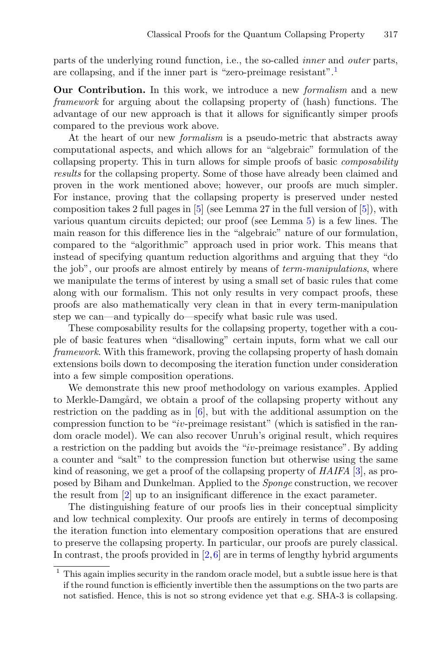parts of the underlying round function, i.e., the so-called *inner* and *outer* parts, are collapsing, and if the inner part is "zero-preimage resistant".[1](#page-2-0)

**Our Contribution.** In this work, we introduce a new *formalism* and a new *framework* for arguing about the collapsing property of (hash) functions. The advantage of our new approach is that it allows for significantly simper proofs compared to the previous work above.

At the heart of our new *formalism* is a pseudo-metric that abstracts away computational aspects, and which allows for an "algebraic" formulation of the collapsing property. This in turn allows for simple proofs of basic *composability results* for the collapsing property. Some of those have already been claimed and proven in the work mentioned above; however, our proofs are much simpler. For instance, proving that the collapsing property is preserved under nested composition takes 2 full pages in [\[5\]](#page-23-0) (see Lemma 27 in the full version of [\[5](#page-23-0)]), with various quantum circuits depicted; our proof (see Lemma [5\)](#page-10-0) is a few lines. The main reason for this difference lies in the "algebraic" nature of our formulation, compared to the "algorithmic" approach used in prior work. This means that instead of specifying quantum reduction algorithms and arguing that they "do the job", our proofs are almost entirely by means of *term-manipulations*, where we manipulate the terms of interest by using a small set of basic rules that come along with our formalism. This not only results in very compact proofs, these proofs are also mathematically very clean in that in every term-manipulation step we can—and typically do—specify what basic rule was used.

These composability results for the collapsing property, together with a couple of basic features when "disallowing" certain inputs, form what we call our *framework*. With this framework, proving the collapsing property of hash domain extensions boils down to decomposing the iteration function under consideration into a few simple composition operations.

We demonstrate this new proof methodology on various examples. Applied to Merkle-Damgård, we obtain a proof of the collapsing property without any restriction on the padding as in [\[6](#page-23-1)], but with the additional assumption on the compression function to be "iv-preimage resistant" (which is satisfied in the random oracle model). We can also recover Unruh's original result, which requires a restriction on the padding but avoids the "iv-preimage resistance". By adding a counter and "salt" to the compression function but otherwise using the same kind of reasoning, we get a proof of the collapsing property of *HAIFA* [\[3\]](#page-23-4), as proposed by Biham and Dunkelman. Applied to the *Sponge* construction, we recover the result from [\[2\]](#page-23-2) up to an insignificant difference in the exact parameter.

The distinguishing feature of our proofs lies in their conceptual simplicity and low technical complexity. Our proofs are entirely in terms of decomposing the iteration function into elementary composition operations that are ensured to preserve the collapsing property. In particular, our proofs are purely classical. In contrast, the proofs provided in  $[2,6]$  $[2,6]$  $[2,6]$  are in terms of lengthy hybrid arguments

<span id="page-2-0"></span><sup>1</sup> This again implies security in the random oracle model, but a subtle issue here is that if the round function is efficiently invertible then the assumptions on the two parts are not satisfied. Hence, this is not so strong evidence yet that e.g. SHA-3 is collapsing.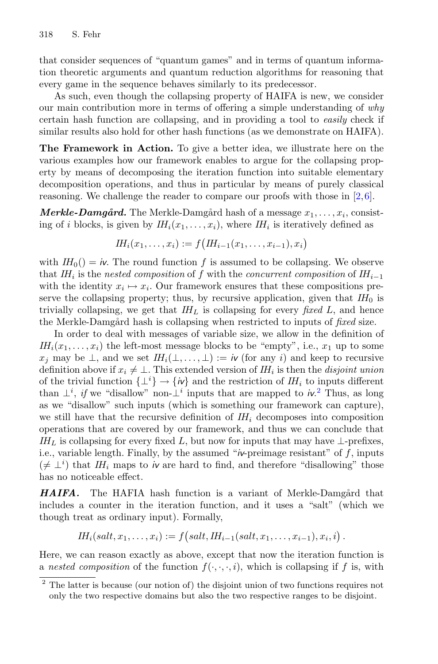that consider sequences of "quantum games" and in terms of quantum information theoretic arguments and quantum reduction algorithms for reasoning that every game in the sequence behaves similarly to its predecessor.

As such, even though the collapsing property of HAIFA is new, we consider our main contribution more in terms of offering a simple understanding of *why* certain hash function are collapsing, and in providing a tool to *easily* check if similar results also hold for other hash functions (as we demonstrate on HAIFA).

**The Framework in Action.** To give a better idea, we illustrate here on the various examples how our framework enables to argue for the collapsing property by means of decomposing the iteration function into suitable elementary decomposition operations, and thus in particular by means of purely classical reasoning. We challenge the reader to compare our proofs with those in  $[2,6]$  $[2,6]$  $[2,6]$ .

*Merkle-Damgård.* The Merkle-Damgård hash of a message  $x_1, \ldots, x_i$ , consisting of i blocks, is given by  $IH_i(x_1,\ldots,x_i)$ , where  $IH_i$  is iteratively defined as

$$
IH_i(x_1,\ldots,x_i):=f\bigl(H_{i-1}(x_1,\ldots,x_{i-1}),x_i\bigr)
$$

with  $IH_0() = iv$ . The round function f is assumed to be collapsing. We observe that  $IH_i$  is the *nested composition* of f with the *concurrent composition* of  $IH_{i-1}$ with the identity  $x_i \mapsto x_i$ . Our framework ensures that these compositions preserve the collapsing property; thus, by recursive application, given that  $I_0$  is trivially collapsing, we get that  $I H_L$  is collapsing for every *fixed* L, and hence the Merkle-Damgård hash is collapsing when restricted to inputs of *fixed* size.

In order to deal with messages of variable size, we allow in the definition of  $IH_i(x_1,\ldots,x_i)$  the left-most message blocks to be "empty", i.e.,  $x_1$  up to some  $x_i$  may be  $\perp$ , and we set  $IH_i(\perp,\ldots,\perp) := i\nu$  (for any i) and keep to recursive definition above if  $x_i \neq \bot$ . This extended version of  $IH_i$  is then the *disjoint union* of the trivial function  $\{\perp^i\} \to \{iv\}$  and the restriction of  $IH_i$  to inputs different than  $\perp^i$ , *if* we "disallow" non- $\perp^i$  inputs that are mapped to *iv*.<sup>[2](#page-3-0)</sup> Thus, as long as we "disallow" such inputs (which is something our framework can capture), we still have that the recursive definition of  $H_i$  decomposes into composition operations that are covered by our framework, and thus we can conclude that  $I H_L$  is collapsing for every fixed L, but now for inputs that may have ⊥-prefixes, i.e., variable length. Finally, by the assumed "*iv*-preimage resistant" of f, inputs  $(\neq \perp^i)$  that  $IH_i$  maps to *iv* are hard to find, and therefore "disallowing" those has no noticeable effect.

**HAIFA.** The HAFIA hash function is a variant of Merkle-Damgård that includes a counter in the iteration function, and it uses a "salt" (which we though treat as ordinary input). Formally,

$$
IH_i(salt, x_1, \ldots, x_i) := f\big(salt, IH_{i-1}(salt, x_1, \ldots, x_{i-1}), x_i, i\big).
$$

Here, we can reason exactly as above, except that now the iteration function is a *nested composition* of the function  $f(\cdot, \cdot, \cdot, i)$ , which is collapsing if f is, with

<span id="page-3-0"></span><sup>2</sup> The latter is because (our notion of) the disjoint union of two functions requires not only the two respective domains but also the two respective ranges to be disjoint.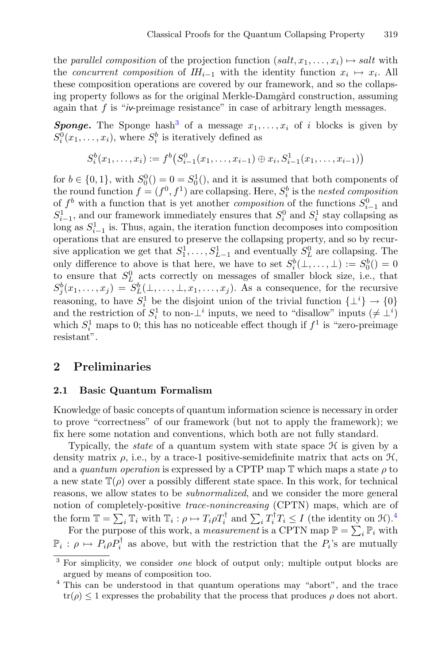the *parallel composition* of the projection function  $(salt, x_1, \ldots, x_i) \mapsto salt$  with the *concurrent composition* of  $H_{i-1}$  with the identity function  $x_i \mapsto x_i$ . All these composition operations are covered by our framework, and so the collapsing property follows as for the original Merkle-Damgård construction, assuming again that f is "*iv*-preimage resistance" in case of arbitrary length messages.

**Sponge.** The Sponge hash<sup>[3](#page-4-0)</sup> of a message  $x_1, \ldots, x_i$  of i blocks is given by  $S_i^0(x_1,\ldots,x_i)$ , where  $S_i^b$  is iteratively defined as

$$
S_i^b(x_1,\ldots,x_i) := f^b\big(S_{i-1}^0(x_1,\ldots,x_{i-1}) \oplus x_i, S_{i-1}^1(x_1,\ldots,x_{i-1})\big)
$$

for  $b \in \{0, 1\}$ , with  $S_0^0() = 0 = S_0^1($ , and it is assumed that both components of the round function  $f = (f^0, f^1)$  are collapsing. Here,  $S_i^b$  is the *nested composition* of  $f^b$  with a function that is yet another *composition* of the functions  $S_{i-1}^0$  and  $S_{i-1}^1$ , and our framework immediately ensures that  $S_i^0$  and  $S_i^1$  stay collapsing as long as  $S_{i-1}^1$  is. Thus, again, the iteration function decomposes into composition operations that are ensured to preserve the collapsing property, and so by recursive application we get that  $S_1^1, \ldots, S_{L-1}^1$  and eventually  $S_L^0$  are collapsing. The only difference to above is that here, we have to set  $S_i^b(\perp,\ldots,\perp) := S_0^b() = 0$ to ensure that  $S_L^0$  acts correctly on messages of smaller block size, i.e., that  $S_j^b(x_1,\ldots,x_j) = S_L^b(\perp,\ldots,\perp,x_1,\ldots,x_j)$ . As a consequence, for the recursive reasoning, to have  $S_i^1$  be the disjoint union of the trivial function  $\{\perp^i\} \to \{0\}$ and the restriction of  $S_i^1$  to non- $\perp^i$  inputs, we need to "disallow" inputs  $(\neq \perp^i)$ which  $S_i^1$  maps to 0; this has no noticeable effect though if  $f^1$  is "zero-preimage resistant".

### **2 Preliminaries**

#### **2.1 Basic Quantum Formalism**

Knowledge of basic concepts of quantum information science is necessary in order to prove "correctness" of our framework (but not to apply the framework); we fix here some notation and conventions, which both are not fully standard.

Typically, the *state* of a quantum system with state space  $H$  is given by a density matrix  $\rho$ , i.e., by a trace-1 positive-semidefinite matrix that acts on  $\mathcal{H}$ , and a *quantum operation* is expressed by a CPTP map  $\mathbb T$  which maps a state  $\rho$  to a new state  $\mathbb{T}(\rho)$  over a possibly different state space. In this work, for technical reasons, we allow states to be *subnormalized*, and we consider the more general notion of completely-positive *trace-nonincreasing* (CPTN) maps, which are of the form  $\mathbb{T} = \sum_i \mathbb{T}_i$  with  $\mathbb{T}_i : \rho \mapsto T_i \rho T_i^{\dagger}$  and  $\sum_i T_i^{\dagger} T_i \leq I$  (the identity on  $\mathcal{H}$ ).<sup>[4](#page-4-1)</sup>

For the purpose of this work, a *measurement* is a CPTN map  $\mathbb{P} = \sum_i \mathbb{P}_i$  with  $\mathbb{P}_i : \rho \mapsto P_i \rho P_i^{\dagger}$  as above, but with the restriction that the  $P_i$ 's are mutually

<sup>&</sup>lt;sup>3</sup> For simplicity, we consider *one* block of output only; multiple output blocks are argued by means of composition too.

<span id="page-4-1"></span><span id="page-4-0"></span><sup>4</sup> This can be understood in that quantum operations may "abort", and the trace  $tr(\rho) < 1$  expresses the probability that the process that produces  $\rho$  does not abort.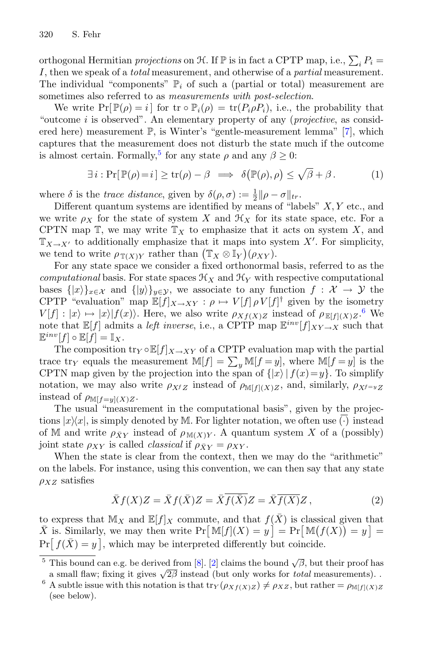orthogonal Hermitian *projections* on  $\mathcal{H}$ . If  $\mathbb P$  is in fact a CPTP map, i.e.,  $\sum_i P_i =$ I, then we speak of a *total* measurement, and otherwise of a *partial* measurement. The individual "components"  $\mathbb{P}_i$  of such a (partial or total) measurement are sometimes also referred to as *measurements with post-selection*.

We write  $\Pr[\mathbb{P}(\rho) = i]$  for tr  $\circ \mathbb{P}_i(\rho) = \text{tr}(P_i \rho P_i)$ , i.e., the probability that "outcome i is observed". An elementary property of any (*projective*, as considered here) measurement  $\mathbb{P}$ , is Winter's "gentle-measurement lemma" [\[7\]](#page-23-5), which captures that the measurement does not disturb the state much if the outcome is almost certain. Formally,<sup>[5](#page-5-0)</sup> for any state  $\rho$  and any  $\beta > 0$ :

<span id="page-5-2"></span>
$$
\exists i : \Pr[\mathbb{P}(\rho) = i] \ge \text{tr}(\rho) - \beta \implies \delta(\mathbb{P}(\rho), \rho) \le \sqrt{\beta} + \beta. \tag{1}
$$

where  $\delta$  is the *trace distance*, given by  $\delta(\rho, \sigma) := \frac{1}{2} ||\rho - \sigma||_{tr}$ .

Different quantum systems are identified by means of "labels"  $X, Y$  etc., and we write  $\rho_X$  for the state of system X and  $\mathcal{H}_X$  for its state space, etc. For a CPTN map  $\mathbb{T}$ , we may write  $\mathbb{T}_X$  to emphasize that it acts on system X, and  $\mathbb{T}_{X\to X'}$  to additionally emphasize that it maps into system X'. For simplicity, we tend to write  $\rho_{\mathbb{T}(X)Y}$  rather than  $(\mathbb{T}_X \otimes \mathbb{I}_Y)(\rho_{XY}).$ 

For any state space we consider a fixed orthonormal basis, referred to as the *computational* basis. For state spaces  $\mathcal{H}_X$  and  $\mathcal{H}_Y$  with respective computational bases  $\{|x\rangle\}_{x\in\mathcal{X}}$  and  $\{|y\rangle\}_{y\in\mathcal{Y}}$ , we associate to any function  $f: \mathcal{X} \to \mathcal{Y}$  the CPTP "evaluation" map  $\mathbb{E}[f]_{X\to XY} : \rho \mapsto V[f] \rho V[f]^{\dagger}$  given by the isometry  $V[f] : |x\rangle \mapsto |x\rangle |f(x)\rangle$ . Here, we also write  $\rho_{Xf(X)Z}$  instead of  $\rho_{\mathbb{E}[f](X)Z}$ . We note that  $\mathbb{E}[f]$  admits a *left inverse*, i.e., a CPTP map  $\mathbb{E}^{inv}[f]_{XY\to X}$  such that  $\mathbb{E}^{inv}[f] \circ \mathbb{E}[f] = \mathbb{I}_X.$ 

The composition  $\text{tr}_Y \circ \mathbb{E}[f]_{X\to XY}$  of a CPTP evaluation map with the partial trace tr<sub>Y</sub> equals the measurement  $\mathbb{M}[f] = \sum_{y} \mathbb{M}[f = y]$ , where  $\mathbb{M}[f = y]$  is the CPTN map given by the projection into the span of  $\{|x\rangle | f(x)=y\}$ . To simplify notation, we may also write  $\rho_{XfZ}$  instead of  $\rho_{\mathbb{M}[f](X)Z}$ , and, similarly,  $\rho_{Xf=yZ}$ instead of  $\rho_{\mathbb{M}[f=v](X)Z}$ .

The usual "measurement in the computational basis", given by the projections  $|x\rangle\langle x|$ , is simply denoted by M. For lighter notation, we often use ( $\cdot$ ) instead of M and write  $\rho_{\bar{X}Y}$  instead of  $\rho_{\mathbb{M}(X)Y}$ . A quantum system X of a (possibly) joint state  $\rho_{XY}$  is called *classical* if  $\rho_{\bar{X}Y} = \rho_{XY}$ .

When the state is clear from the context, then we may do the "arithmetic" on the labels. For instance, using this convention, we can then say that any state  $\rho_{XZ}$  satisfies

<span id="page-5-3"></span>
$$
\bar{X}f(X)Z = \bar{X}f(\bar{X})Z = \bar{X}\overline{f(\bar{X})}Z = \bar{X}\overline{f(X)}Z, \qquad (2)
$$

to express that  $\mathbb{M}_X$  and  $\mathbb{E}[f]_X$  commute, and that  $f(\bar{X})$  is classical given that  $\bar{X}$  is. Similarly, we may then write  $Pr[M[f](X) = y] = Pr[M(f(X))] = y$  $Pr[f(\bar{X}) = y]$ , which may be interpreted differently but coincide.

<span id="page-5-0"></span><sup>&</sup>lt;sup>5</sup> This bound can e.g. be derived from [\[8](#page-23-6)]. [\[2\]](#page-23-2) claims the bound  $\sqrt{\beta}$ , but their proof has a small flaw; fixing it gives  $\sqrt{2\beta}$  instead (but only works for *total* measurements).

<span id="page-5-1"></span><sup>&</sup>lt;sup>6</sup> A subtle issue with this notation is that  $\text{tr}_Y(\rho_{Xf(X)Z}) \neq \rho_{XZ}$ , but rather =  $\rho_{\mathbb{M}[f](X)Z}$ (see below).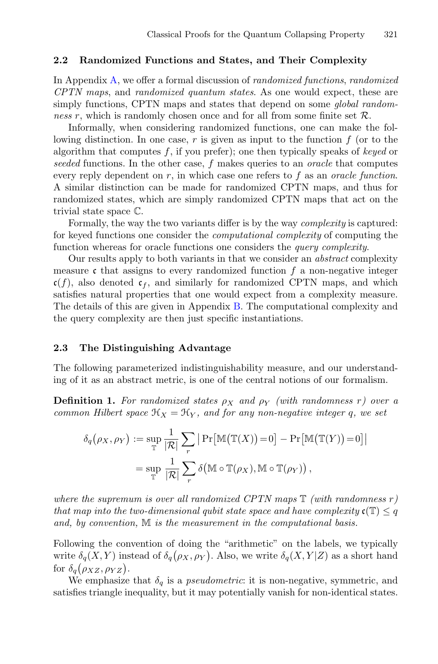#### **2.2 Randomized Functions and States, and Their Complexity**

In Appendix [A,](#page-19-0) we offer a formal discussion of *randomized functions*, *randomized CPTN maps*, and *randomized quantum states*. As one would expect, these are simply functions, CPTN maps and states that depend on some *global randomness* r, which is randomly chosen once and for all from some finite set R.

Informally, when considering randomized functions, one can make the following distinction. In one case,  $r$  is given as input to the function  $f$  (or to the algorithm that computes f, if you prefer); one then typically speaks of *keyed* or *seeded* functions. In the other case, f makes queries to an *oracle* that computes every reply dependent on r, in which case one refers to f as an *oracle function*. A similar distinction can be made for randomized CPTN maps, and thus for randomized states, which are simply randomized CPTN maps that act on the trivial state space C.

Formally, the way the two variants differ is by the way *complexity* is captured: for keyed functions one consider the *computational complexity* of computing the function whereas for oracle functions one considers the *query complexity*.

Our results apply to both variants in that we consider an *abstract* complexity measure c that assigns to every randomized function  $f$  a non-negative integer  $c(f)$ , also denoted  $c_f$ , and similarly for randomized CPTN maps, and which satisfies natural properties that one would expect from a complexity measure. The details of this are given in Appendix [B.](#page-20-0) The computational complexity and the query complexity are then just specific instantiations.

#### **2.3 The Distinguishing Advantage**

The following parameterized indistinguishability measure, and our understanding of it as an abstract metric, is one of the central notions of our formalism.

**Definition 1.** For randomized states  $\rho_X$  and  $\rho_Y$  (with randomness r) over a *common Hilbert space*  $\mathcal{H}_X = \mathcal{H}_Y$ *, and for any non-negative integer q, we set* 

$$
\delta_q(\rho_X, \rho_Y) := \sup_{\mathbb{T}} \frac{1}{|\mathcal{R}|} \sum_r \left| \Pr[\mathbb{M}(\mathbb{T}(X)) = 0] - \Pr[\mathbb{M}(\mathbb{T}(Y)) = 0] \right|
$$

$$
= \sup_{\mathbb{T}} \frac{1}{|\mathcal{R}|} \sum_r \delta(\mathbb{M} \circ \mathbb{T}(\rho_X), \mathbb{M} \circ \mathbb{T}(\rho_Y)),
$$

*where the supremum is over all randomized CPTN maps* T *(with randomness* r*) that map into the two-dimensional qubit state space and have complexity*  $c(T) \leq q$ *and, by convention,* M *is the measurement in the computational basis.*

Following the convention of doing the "arithmetic" on the labels, we typically write  $\delta_q(X, Y)$  instead of  $\delta_q(\rho_X, \rho_Y)$ . Also, we write  $\delta_q(X, Y|Z)$  as a short hand for  $\delta_q(\rho_{XZ}, \rho_{YZ})$ .

We emphasize that  $\delta_q$  is a *pseudometric*: it is non-negative, symmetric, and satisfies triangle inequality, but it may potentially vanish for non-identical states.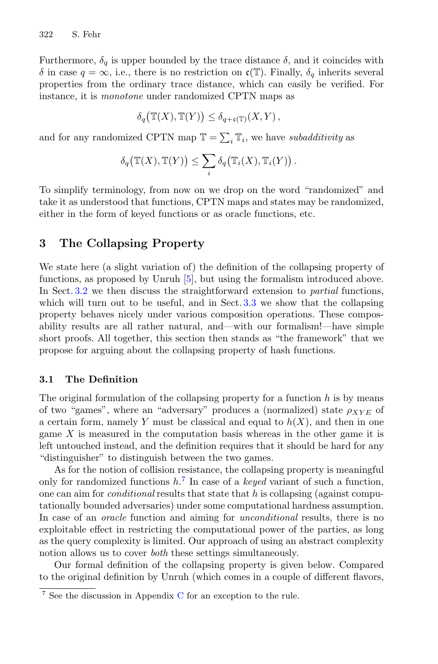Furthermore,  $\delta_q$  is upper bounded by the trace distance  $\delta$ , and it coincides with δ in case  $q = \infty$ , i.e., there is no restriction on  $\mathfrak{c}(\mathbb{T})$ . Finally,  $\delta_q$  inherits several properties from the ordinary trace distance, which can easily be verified. For instance, it is *monotone* under randomized CPTN maps as

$$
\delta_q\big(\mathbb{T}(X),\mathbb{T}(Y)\big)\leq \delta_{q+\mathfrak{c}(\mathbb{T})}(X,Y)\,,
$$

and for any randomized CPTN map  $\mathbb{T} = \sum_i \mathbb{T}_i$ , we have *subadditivity* as

$$
\delta_q\big(\mathbb{T}(X),\mathbb{T}(Y)\big) \leq \sum_i \delta_q\big(\mathbb{T}_i(X),\mathbb{T}_i(Y)\big).
$$

To simplify terminology, from now on we drop on the word "randomized" and take it as understood that functions, CPTN maps and states may be randomized, either in the form of keyed functions or as oracle functions, etc.

### <span id="page-7-1"></span>**3 The Collapsing Property**

We state here (a slight variation of) the definition of the collapsing property of functions, as proposed by Unruh [\[5\]](#page-23-0), but using the formalism introduced above. In Sect. [3.2](#page-8-0) we then discuss the straightforward extension to *partial* functions, which will turn out to be useful, and in Sect. [3.3](#page-10-1) we show that the collapsing property behaves nicely under various composition operations. These composability results are all rather natural, and—with our formalism!—have simple short proofs. All together, this section then stands as "the framework" that we propose for arguing about the collapsing property of hash functions.

### **3.1 The Definition**

The original formulation of the collapsing property for a function  $h$  is by means of two "games", where an "adversary" produces a (normalized) state  $\rho_{XYE}$  of a certain form, namely Y must be classical and equal to  $h(X)$ , and then in one game  $X$  is measured in the computation basis whereas in the other game it is left untouched instead, and the definition requires that it should be hard for any "distinguisher" to distinguish between the two games.

As for the notion of collision resistance, the collapsing property is meaningful only for randomized functions h. [7](#page-7-0) In case of a *keyed* variant of such a function, one can aim for *conditional* results that state that h is collapsing (against computationally bounded adversaries) under some computational hardness assumption. In case of an *oracle* function and aiming for *unconditional* results, there is no exploitable effect in restricting the computational power of the parties, as long as the query complexity is limited. Our approach of using an abstract complexity notion allows us to cover *both* these settings simultaneously.

Our formal definition of the collapsing property is given below. Compared to the original definition by Unruh (which comes in a couple of different flavors,

<span id="page-7-0"></span> $\sqrt{7}$  See the discussion in Appendix [C](#page-21-0) for an exception to the rule.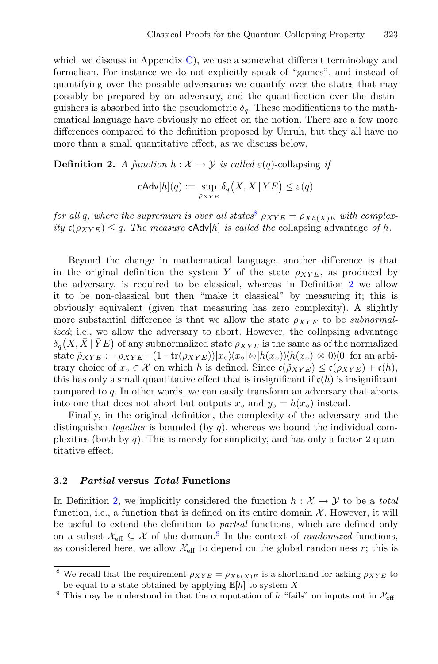which we discuss in Appendix  $C$ , we use a somewhat different terminology and formalism. For instance we do not explicitly speak of "games", and instead of quantifying over the possible adversaries we quantify over the states that may possibly be prepared by an adversary, and the quantification over the distinguishers is absorbed into the pseudometric  $\delta_q$ . These modifications to the mathematical language have obviously no effect on the notion. There are a few more differences compared to the definition proposed by Unruh, but they all have no more than a small quantitative effect, as we discuss below.

<span id="page-8-2"></span>**Definition 2.** *A function*  $h: \mathcal{X} \to \mathcal{Y}$  *is called*  $\varepsilon(q)$ -collapsing *if* 

$$
\mathsf{cAdv}[h](q) := \sup_{\rho_{XYE}} \delta_q\big(X, \bar{X} \,|\, \bar{Y}E\big) \le \varepsilon(q)
$$

*for all q, where the supremum is over all states*<sup>[8](#page-8-1)</sup>  $\rho_{XYE} = \rho_{Xh(X)E}$  with complex*ity*  $c(\rho_{XYE}) \leq q$ . The measure cAdv[h] *is called the* collapsing advantage of h.

Beyond the change in mathematical language, another difference is that in the original definition the system Y of the state  $\rho_{XYE}$ , as produced by the adversary, is required to be classical, whereas in Definition [2](#page-8-2) we allow it to be non-classical but then "make it classical" by measuring it; this is obviously equivalent (given that measuring has zero complexity). A slightly more substantial difference is that we allow the state  $\rho_{XYE}$  to be *subnormalized*; i.e., we allow the adversary to abort. However, the collapsing advantage  $\delta_q(X, \bar{X} | \bar{Y}E)$  of any subnormalized state  $\rho_{XYE}$  is the same as of the normalized state  $\tilde{\rho}_{XYE} := \rho_{XYE} + (1 - \text{tr}(\rho_{XYE}))|x_\circ\rangle\langle x_\circ| \otimes |h(x_\circ)\rangle\langle h(x_\circ)| \otimes |0\rangle\langle 0|$  for an arbitrary choice of  $x<sub>o</sub> \in \mathcal{X}$  on which h is defined. Since  $\mathfrak{c}(\tilde{\rho}_{XYE}) \leq \mathfrak{c}(\rho_{XYE}) + \mathfrak{c}(h)$ , this has only a small quantitative effect that is insignificant if  $c(h)$  is insignificant compared to q. In other words, we can easily transform an adversary that aborts into one that does not abort but outputs  $x_0$  and  $y_0 = h(x_0)$  instead.

Finally, in the original definition, the complexity of the adversary and the distinguisher *together* is bounded (by  $q$ ), whereas we bound the individual complexities (both by  $q$ ). This is merely for simplicity, and has only a factor-2 quantitative effect.

#### <span id="page-8-0"></span>**3.2** *Partial* **versus** *Total* **Functions**

In Definition [2,](#page-8-2) we implicitly considered the function  $h : \mathcal{X} \to \mathcal{Y}$  to be a *total* function, i.e., a function that is defined on its entire domain  $\mathcal{X}$ . However, it will be useful to extend the definition to *partial* functions, which are defined only on a subset  $\mathcal{X}_{\text{eff}} \subseteq \mathcal{X}$  of the domain.<sup>[9](#page-8-3)</sup> In the context of *randomized* functions, as considered here, we allow  $\mathcal{X}_{\text{eff}}$  to depend on the global randomness r; this is

<span id="page-8-1"></span><sup>&</sup>lt;sup>8</sup> We recall that the requirement  $\rho_{XYE} = \rho_{Xh(X)E}$  is a shorthand for asking  $\rho_{XYE}$  to be equal to a state obtained by applying  $\mathbb{E}[h]$  to system X.

<span id="page-8-3"></span><sup>&</sup>lt;sup>9</sup> This may be understood in that the computation of h "fails" on inputs not in  $\mathcal{X}_{\text{eff}}$ .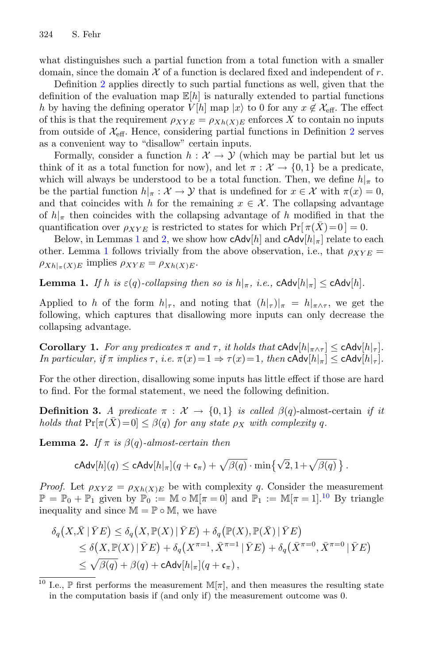what distinguishes such a partial function from a total function with a smaller domain, since the domain  $\mathcal X$  of a function is declared fixed and independent of r.

Definition [2](#page-8-2) applies directly to such partial functions as well, given that the definition of the evaluation map  $\mathbb{E}[h]$  is naturally extended to partial functions h by having the defining operator  $V[h]$  map  $|x\rangle$  to 0 for any  $x \notin \mathcal{X}_{\text{eff}}$ . The effect of this is that the requirement  $\rho_{XYE} = \rho_{Xh(X)E}$  enforces X to contain no inputs from outside of  $\mathcal{X}_{\text{eff}}$ . Hence, considering partial functions in Definition [2](#page-8-2) serves as a convenient way to "disallow" certain inputs.

Formally, consider a function  $h : \mathcal{X} \to \mathcal{Y}$  (which may be partial but let us think of it as a total function for now), and let  $\pi : \mathcal{X} \to \{0, 1\}$  be a predicate, which will always be understood to be a total function. Then, we define  $h|_{\pi}$  to be the partial function  $h|_{\pi} : \mathcal{X} \to \mathcal{Y}$  that is undefined for  $x \in \mathcal{X}$  with  $\pi(x) = 0$ , and that coincides with h for the remaining  $x \in \mathcal{X}$ . The collapsing advantage of  $h|_{\pi}$  then coincides with the collapsing advantage of h modified in that the quantification over  $\rho_{XYE}$  is restricted to states for which  $Pr[\pi(X)=0] = 0$ .

Below, in Lemmas [1](#page-9-0) and [2,](#page-9-1) we show how cAdv[h] and cAdv[h]<sub>π</sub>] relate to each other. Lemma [1](#page-9-0) follows trivially from the above observation, i.e., that  $\rho_{XYE}$  =  $\rho_{Xh|_{\pi}(X)E}$  implies  $\rho_{XYE} = \rho_{Xh(X)E}$ .

<span id="page-9-0"></span>**Lemma 1.** *If* h *is*  $\varepsilon(q)$ -collapsing then so is  $h|_{\pi}$ , *i.e.*, cAdv $[h]_{\pi}$   $\leq$  cAdv $[h]$ .

Applied to h of the form  $h|_{\tau}$ , and noting that  $(h|_{\tau})|_{\pi} = h|_{\pi \wedge \tau}$ , we get the following, which captures that disallowing more inputs can only decrease the collapsing advantage.

**Corollary 1.** For any predicates  $\pi$  and  $\tau$ , it holds that  $c$ Adv $[h_{\pi\wedge\tau}] \leq c$ Adv $[h_{\tau}]$ . *In particular, if*  $\pi$  *implies*  $\tau$ *, i.e.*  $\pi(x)=1 \Rightarrow \tau(x)=1$ *, then*  $\text{cAdv}[h|_{\pi}] \leq \text{cAdv}[h|_{\tau}]$ *.* 

For the other direction, disallowing some inputs has little effect if those are hard to find. For the formal statement, we need the following definition.

**Definition 3.** *A predicate*  $\pi$  :  $\mathcal{X} \rightarrow \{0, 1\}$  *is called*  $\beta(q)$ -almost-certain *if it holds that*  $Pr[\pi(\bar{X})=0] \leq \beta(q)$  *for any state*  $\rho_X$  *with complexity* q.

<span id="page-9-1"></span>**Lemma 2.** *If*  $\pi$  *is*  $\beta(q)$ *-almost-certain then* 

$$
\mathsf{cAdv}[h](q) \leq \mathsf{cAdv}[h|_\pi](q + \mathfrak{c}_\pi) + \sqrt{\beta(q)} \cdot \min\left\{\sqrt{2}, 1 + \sqrt{\beta(q)}\right\}.
$$

*Proof.* Let  $\rho_{XYZ} = \rho_{Xh(X)E}$  be with complexity q. Consider the measurement  $\mathbb{P} = \mathbb{P}_0 + \mathbb{P}_1$  given by  $\mathbb{P}_0 := \mathbb{M} \circ \mathbb{M}[\pi = 0]$  and  $\mathbb{P}_1 := \mathbb{M}[\pi = 1].^{10}$  $\mathbb{P}_1 := \mathbb{M}[\pi = 1].^{10}$  $\mathbb{P}_1 := \mathbb{M}[\pi = 1].^{10}$  By triangle inequality and since  $M = \mathbb{P} \circ M$ , we have

$$
\delta_q(X, \bar{X} | \bar{Y}E) \leq \delta_q(X, \mathbb{P}(X) | \bar{Y}E) + \delta_q(\mathbb{P}(X), \mathbb{P}(\bar{X}) | \bar{Y}E)
$$
  
\n
$$
\leq \delta(X, \mathbb{P}(X) | \bar{Y}E) + \delta_q(X^{\pi=1}, \bar{X}^{\pi=1} | \bar{Y}E) + \delta_q(\bar{X}^{\pi=0}, \bar{X}^{\pi=0} | \bar{Y}E)
$$
  
\n
$$
\leq \sqrt{\beta(q)} + \beta(q) + c \text{Adv}[h]_{\pi}](q + \mathfrak{c}_{\pi}),
$$

<span id="page-9-2"></span><sup>&</sup>lt;sup>10</sup> I.e.,  $\mathbb P$  first performs the measurement  $\mathbb M[\pi]$ , and then measures the resulting state in the computation basis if (and only if) the measurement outcome was 0.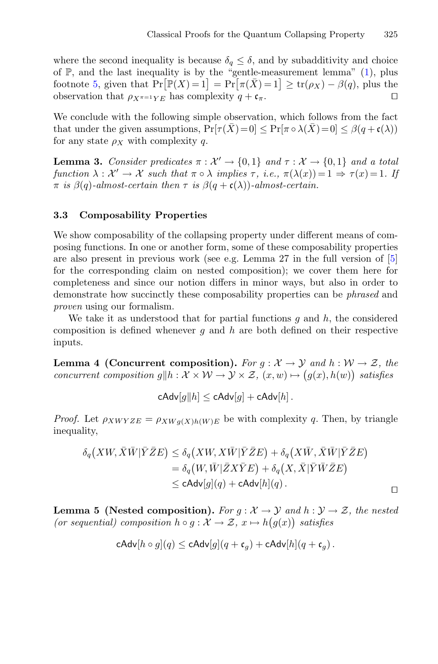where the second inequality is because  $\delta_q \leq \delta$ , and by subadditivity and choice of  $\mathbb{P}$ , and the last inequality is by the "gentle-measurement lemma" [\(1\)](#page-5-2), plus footnote [5,](#page-5-0) given that  $Pr[\mathbb{P}(X)=1] = Pr[\pi(\bar{X})=1] \ge tr(\rho_X) - \beta(q)$ , plus the observation that  $\rho_{X^{\pi=1}YE}$  has complexity  $q + \mathfrak{c}_{\pi}$ .

We conclude with the following simple observation, which follows from the fact that under the given assumptions,  $Pr[\tau(X)=0] \leq Pr[\pi \circ \lambda(X)=0] \leq \beta(q+\mathfrak{c}(\lambda))$ for any state  $\rho_X$  with complexity q.

<span id="page-10-2"></span>**Lemma 3.** *Consider predicates*  $\pi : \mathcal{X}' \to \{0, 1\}$  *and*  $\tau : \mathcal{X} \to \{0, 1\}$  *and a total function*  $\lambda : \mathcal{X}' \to \mathcal{X}$  *such that*  $\pi \circ \lambda$  *implies*  $\tau$ *, i.e.,*  $\pi(\lambda(x)) = 1 \Rightarrow \tau(x) = 1$ *. If*  $\pi$  *is*  $\beta(q)$ -almost-certain then  $\tau$  *is*  $\beta(q + \mathfrak{c}(\lambda))$ -almost-certain.

### <span id="page-10-1"></span>**3.3 Composability Properties**

We show composability of the collapsing property under different means of composing functions. In one or another form, some of these composability properties are also present in previous work (see e.g. Lemma 27 in the full version of [\[5\]](#page-23-0) for the corresponding claim on nested composition); we cover them here for completeness and since our notion differs in minor ways, but also in order to demonstrate how succinctly these composability properties can be *phrased* and *proven* using our formalism.

We take it as understood that for partial functions  $g$  and  $h$ , the considered composition is defined whenever q and  $h$  are both defined on their respective inputs.

<span id="page-10-3"></span>**Lemma 4 (Concurrent composition).** *For*  $g : \mathcal{X} \to \mathcal{Y}$  *and*  $h : \mathcal{W} \to \mathcal{Z}$ *, the concurrent composition*  $g||h : \mathcal{X} \times \mathcal{W} \to \mathcal{Y} \times \mathcal{Z}$ ,  $(x, w) \mapsto (g(x), h(w))$  satisfies

$$
\mathsf{cAdv}[g\|h] \leq \mathsf{cAdv}[g] + \mathsf{cAdv}[h].
$$

*Proof.* Let  $\rho_{XWYZE} = \rho_{XWq(X)h(W)E}$  be with complexity q. Then, by triangle inequality,

$$
\delta_q(XW, \bar{X}\bar{W}|\bar{Y}\bar{Z}E) \leq \delta_q(XW, X\bar{W}|\bar{Y}\bar{Z}E) + \delta_q(X\bar{W}, \bar{X}\bar{W}|\bar{Y}\bar{Z}E)
$$
  
=  $\delta_q(W, \bar{W}|\bar{Z}X\bar{Y}E) + \delta_q(X, \bar{X}|\bar{Y}\bar{W}\bar{Z}E)$   
 $\leq \text{cAdv}[g](q) + \text{cAdv}[h](q)$ .

<span id="page-10-0"></span>**Lemma 5 (Nested composition).** *For*  $g : \mathcal{X} \to \mathcal{Y}$  *and*  $h : \mathcal{Y} \to \mathcal{Z}$ *, the nested* (or sequential) composition  $h \circ g : \mathcal{X} \to \mathcal{Z}, x \mapsto h(g(x))$  satisfies

$$
\mathsf{cAdv}[h\circ g](q)\leq \mathsf{cAdv}[g](q+\mathfrak{c}_g)+\mathsf{cAdv}[h](q+\mathfrak{c}_g)\,.
$$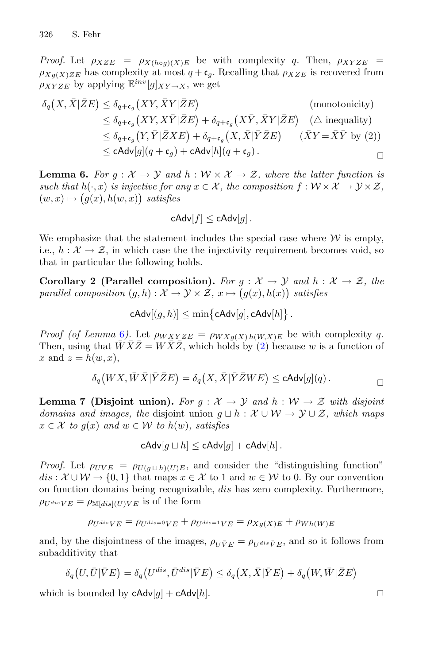*Proof.* Let  $\rho_{XZE} = \rho_{X(h \circ q)(X)E}$  be with complexity q. Then,  $\rho_{XYZE}$  $\rho_{Xg(X)ZE}$  has complexity at most  $q + \mathfrak{c}_g$ . Recalling that  $\rho_{XZE}$  is recovered from  $\rho_{XYZE}$  by applying  $\mathbb{E}^{inv}[g]_{XY\to X}$ , we get

$$
\delta_q(X, \bar{X} | \bar{Z}E) \leq \delta_{q+\mathfrak{c}_g}(XY, \bar{X}Y | \bar{Z}E) \qquad \qquad \text{(monotonicity)}
$$
\n
$$
\leq \delta_{q+\mathfrak{c}_g}(XY, X\bar{Y} | \bar{Z}E) + \delta_{q+\mathfrak{c}_g}(X\bar{Y}, \bar{X}Y | \bar{Z}E) \qquad \text{(Δ inequality)}
$$
\n
$$
\leq \delta_{q+\mathfrak{c}_g}(Y, \bar{Y} | \bar{Z}XE) + \delta_{q+\mathfrak{c}_g}(X, \bar{X} | \bar{Y} \bar{Z}E) \qquad (\bar{X}Y = \bar{X}\bar{Y} \text{ by (2))}
$$
\n
$$
\leq \text{cAdv}[g](q+\mathfrak{c}_g) + \text{cAdv}[h](q+\mathfrak{c}_g).
$$

<span id="page-11-0"></span>**Lemma 6.** For  $g : \mathcal{X} \to \mathcal{Y}$  and  $h : \mathcal{W} \times \mathcal{X} \to \mathcal{Z}$ , where the latter function is *such that*  $h(\cdot, x)$  *is injective for any*  $x \in \mathcal{X}$ *, the composition*  $f: \mathcal{W} \times \mathcal{X} \to \mathcal{Y} \times \mathcal{Z}$ *,*  $(w, x) \mapsto (g(x), h(w, x))$  satisfies

$$
\mathsf{cAdv}[f] \leq \mathsf{cAdv}[g]\,.
$$

We emphasize that the statement includes the special case where  $W$  is empty, i.e.,  $h : \mathcal{X} \to \mathcal{Z}$ , in which case the the injectivity requirement becomes void, so that in particular the following holds.

<span id="page-11-2"></span>**Corollary 2 (Parallel composition).** *For*  $g : \mathcal{X} \to \mathcal{Y}$  *and*  $h : \mathcal{X} \to \mathcal{Z}$ *, the*  $parallel\ composition(g, h) : \mathcal{X} \to \mathcal{Y} \times \mathcal{Z}, x \mapsto (g(x), h(x)) \; satisfies$ 

$$
\operatorname{cAdv}[(g,h)] \leq \min\{\operatorname{cAdv}[g],\operatorname{cAdv}[h]\}.
$$

*Proof (of Lemma* [6](#page-11-0)). Let  $\rho_{WXYZE} = \rho_{WX}g(X)h(W,X)E$  be with complexity q. Then, using that  $\overline{WXZ} = \overline{WXZ}$ , which holds by [\(2\)](#page-5-3) because w is a function of x and  $z = h(w, x)$ ,

$$
\delta_q(WX, \bar{W}\bar{X}|\bar{Y}\bar{Z}E) = \delta_q(X, \bar{X}|\bar{Y}\bar{Z}WE) \le \mathsf{cAdv}[g](q).
$$

<span id="page-11-1"></span>**Lemma 7 (Disjoint union).** For  $q : \mathcal{X} \to \mathcal{Y}$  and  $h : \mathcal{W} \to \mathcal{Z}$  with disjoint *domains and images, the disjoint union*  $g \sqcup h : \mathcal{X} \cup \mathcal{W} \rightarrow \mathcal{Y} \cup \mathcal{Z}$ *, which maps*  $x \in \mathcal{X}$  *to*  $g(x)$  *and*  $w \in \mathcal{W}$  *to*  $h(w)$ *, satisfies* 

$$
\mathsf{cAdv}[g \sqcup h] \leq \mathsf{cAdv}[g] + \mathsf{cAdv}[h].
$$

*Proof.* Let  $\rho_{UVE} = \rho_{U(g \sqcup h)(U)E}$ , and consider the "distinguishing function"  $dis: \mathcal{X} \cup \mathcal{W} \rightarrow \{0,1\}$  that maps  $x \in \mathcal{X}$  to 1 and  $w \in \mathcal{W}$  to 0. By our convention on function domains being recognizable, dis has zero complexity. Furthermore,  $\rho_{U^{dis}VE} = \rho_{\text{M}[dis](U)VE}$  is of the form

$$
\rho_{U^{dis}VE} = \rho_{U^{dis=0}VE} + \rho_{U^{dis=1}VE} = \rho_{Xg(X)E} + \rho_{Wh(W)E}
$$

and, by the disjointness of the images,  $\rho_{U\bar{V}E} = \rho_{U\bar{d}s\bar{V}E}$ , and so it follows from subadditivity that

$$
\delta_q(U,\bar{U}|\bar{V}E) = \delta_q(U^{dis},\bar{U}^{dis}|\bar{V}E) \leq \delta_q(X,\bar{X}|\bar{Y}E) + \delta_q(W,\bar{W}|\bar{Z}E)
$$

which is bounded by  $c\text{Adv}[q] + c\text{Adv}[h]$ .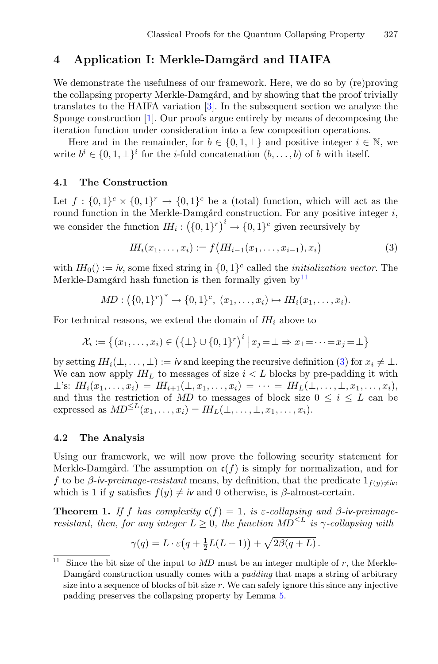### <span id="page-12-3"></span>4 Application I: Merkle-Damgård and HAIFA

We demonstrate the usefulness of our framework. Here, we do so by (re)proving the collapsing property Merkle-Damgård, and by showing that the proof trivially translates to the HAIFA variation [\[3\]](#page-23-4). In the subsequent section we analyze the Sponge construction [\[1](#page-23-3)]. Our proofs argue entirely by means of decomposing the iteration function under consideration into a few composition operations.

Here and in the remainder, for  $b \in \{0, 1, \perp\}$  and positive integer  $i \in \mathbb{N}$ , we write  $b^i \in \{0, 1, \perp\}^i$  for the *i*-fold concatenation  $(b, \ldots, b)$  of b with itself.

#### **4.1 The Construction**

Let  $f : \{0,1\}^c \times \{0,1\}^r \rightarrow \{0,1\}^c$  be a (total) function, which will act as the round function in the Merkle-Damgård construction. For any positive integer  $i$ , we consider the function  $IH_i: (\{0,1\}^r)^i \to \{0,1\}^c$  given recursively by

<span id="page-12-1"></span>
$$
IH_i(x_1,\ldots,x_i) := f\big(H_{i-1}(x_1,\ldots,x_{i-1}),x_i\big) \tag{3}
$$

with  $IH_0() := iv$ , some fixed string in  $\{0,1\}^c$  called the *initialization vector*. The Merkle-Damgård hash function is then formally given by  $11$ 

$$
MD: (\{0,1\}^r)^* \to \{0,1\}^c, (x_1,\ldots,x_i) \mapsto IH_i(x_1,\ldots,x_i).
$$

For technical reasons, we extend the domain of  $I\!H_i$  above to

$$
\mathcal{X}_i := \left\{ (x_1, \ldots, x_i) \in \left( \{\bot\} \cup \{0, 1\}^r \right)^i \mid x_j = \bot \Rightarrow x_1 = \cdots = x_j = \bot \right\}
$$

by setting  $IH_i(\perp,\ldots,\perp) := i\nu$  and keeping the recursive definition [\(3\)](#page-12-1) for  $x_i \neq \perp$ . We can now apply  $I H_L$  to messages of size  $i < L$  blocks by pre-padding it with  $\perp$ 's:  $IH_i(x_1,...,x_i) = IH_{i+1}(\perp, x_1,...,x_i) = \cdots = IH_L(\perp,...,\perp, x_1,...,x_i),$ and thus the restriction of MD to messages of block size  $0 \leq i \leq L$  can be expressed as  $MD^{\leq L}(x_1,\ldots,x_i) = IH_L(\perp,\ldots,\perp,x_1,\ldots,x_i).$ 

#### **4.2 The Analysis**

Using our framework, we will now prove the following security statement for Merkle-Damgård. The assumption on  $c(f)$  is simply for normalization, and for f to be  $\beta$ -*iv-preimage-resistant* means, by definition, that the predicate  $1_{f(y)\neq iy}$ , which is 1 if y satisfies  $f(y) \neq iv$  and 0 otherwise, is  $\beta$ -almost-certain.

<span id="page-12-2"></span>**Theorem 1.** *If* f has complexity  $c(f) = 1$ , is  $\varepsilon$ -collapsing and  $\beta$ -*iv*-preimage*resistant, then, for any integer*  $L > 0$ *, the function*  $MD^{\leq L}$  *is*  $\gamma$ -collapsing with

$$
\gamma(q) = L \cdot \varepsilon \left( q + \frac{1}{2}L(L+1) \right) + \sqrt{2\beta(q+L)}.
$$

<span id="page-12-0"></span><sup>&</sup>lt;sup>11</sup> Since the bit size of the input to  $MD$  must be an integer multiple of r, the Merkle-Damgård construction usually comes with a *padding* that maps a string of arbitrary size into a sequence of blocks of bit size  $r$ . We can safely ignore this since any injective padding preserves the collapsing property by Lemma [5.](#page-10-0)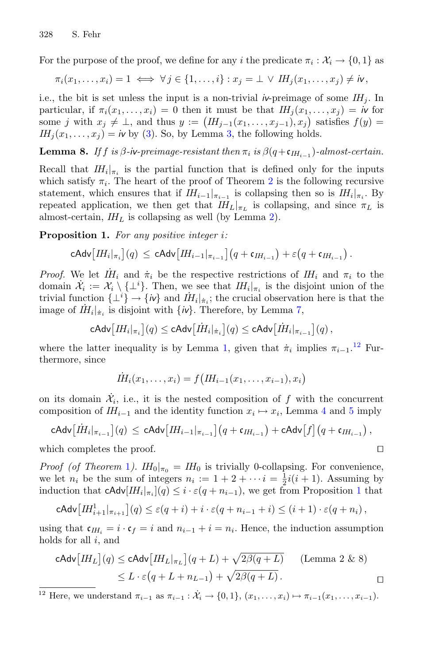For the purpose of the proof, we define for any i the predicate  $\pi_i : \mathcal{X}_i \to \{0,1\}$  as

$$
\pi_i(x_1,\ldots,x_i)=1\iff \forall\,j\in\{1,\ldots,i\}: x_j=\bot\,\vee\,IH_j(x_1,\ldots,x_j)\neq i\nu,
$$

i.e., the bit is set unless the input is a non-trivial *iv*-preimage of some  $IH_i$ . In particular, if  $\pi_i(x_1,\ldots,x_i) = 0$  then it must be that  $IH_i(x_1,\ldots,x_i) = i\mathbf{v}$  for some j with  $x_j \neq \bot$ , and thus  $y := (IH_{j-1}(x_1, \ldots, x_{j-1}), x_j)$  satisfies  $f(y) = \overline{H_{j-1}(x_1, \ldots, x_{j-1})}$  $IH_i(x_1,\ldots,x_i) = i\nu$  by [\(3\)](#page-12-1). So, by Lemma [3,](#page-10-2) the following holds.

**Lemma 8.** *If*  $f$  *is*  $\beta$ *-iv-preimage-resistant then*  $\pi_i$  *is*  $\beta(q+\mathfrak{c}_{H_{i-1}})$ *-almost-certain.* 

Recall that  $IH_i|_{\pi_i}$  is the partial function that is defined only for the inputs which satisfy  $\pi_i$ . The heart of the proof of Theorem [2](#page-16-0) is the following recursive statement, which ensures that if  $IH_{i-1}|_{\pi_{i-1}}$  is collapsing then so is  $IH_i|_{\pi_i}$ . By repeated application, we then get that  $H_L|_{\pi_L}$  is collapsing, and since  $\pi_L$  is almost-certain,  $I H_L$  is collapsing as well (by Lemma [2\)](#page-9-1).

<span id="page-13-1"></span>**Proposition 1.** *For any positive integer* i*:*

$$
\mathsf{cAdv}\big[\mathit{IH}_i|_{\pi_i}\big](q) \, \leq \, \mathsf{cAdv}\big[\mathit{IH}_{i-1}|_{\pi_{i-1}}\big](q + \mathfrak{c}_{\mathit{IH}_{i-1}}\big) + \varepsilon\big(q + \mathfrak{c}_{\mathit{IH}_{i-1}}\big) \, .
$$

*Proof.* We let  $\dot{H}_i$  and  $\dot{\pi}_i$  be the respective restrictions of  $H_i$  and  $\pi_i$  to the domain  $\mathcal{X}_i := \mathcal{X}_i \setminus \{\perp^i\}$ . Then, we see that  $I H_i|_{\pi_i}$  is the disjoint union of the trivial function  $\{\perp^i\} \to \{iv\}$  and  $IH_i|_{\pi_i}$ ; the crucial observation here is that the image of  $IH_i|_{\pi_i}$  is disjoint with  $\{iv\}$ . Therefore, by Lemma [7,](#page-11-1)

$$
\mathsf{cAdv}\big[IH_i\vert_{\pi_i}\big](q)\leq \mathsf{cAdv}\big[IH_i\vert_{\hat{\pi}_i}\big](q)\leq \mathsf{cAdv}\big[IH_i\vert_{\pi_{i-1}}\big](q)\,,
$$

where the latter inequality is by Lemma [1,](#page-9-0) given that  $\dot{\pi}_i$  implies  $\pi_{i-1}$ .<sup>[12](#page-13-0)</sup> Furthermore, since

$$
\dot{I}H_i(x_1,\ldots,x_i) = f\bigl( IH_{i-1}(x_1,\ldots,x_{i-1}),x_i\bigr)
$$

on its domain  $\mathcal{X}_i$ , i.e., it is the nested composition of  $f$  with the concurrent composition of  $IH_{i-1}$  and the identity function  $x_i \mapsto x_i$ , Lemma [4](#page-10-3) and [5](#page-10-0) imply

$$
\mathsf{cAdv}\big[\dot{I}\dot{H}_i|_{\pi_{i-1}}\big](q) \leq \mathsf{cAdv}\big[\textit{IH}_{i-1}|_{\pi_{i-1}}\big](q+\mathfrak{c}_{\textit{IH}_{i-1}})+\mathsf{cAdv}\big[f\big](q+\mathfrak{c}_{\textit{IH}_{i-1}})\,,
$$

which completes the proof.

*Proof (of Theorem [1](#page-12-2)).*  $IH_0|_{\pi_0} = IH_0$  is trivially 0-collapsing. For convenience, we let  $n_i$  be the sum of integers  $n_i := 1 + 2 + \cdots i = \frac{1}{2}i(i + 1)$ . Assuming by induction that  $c \text{Adv}[H_i]_{\pi_i} | (q) \leq i \cdot \varepsilon(q + n_{i-1}),$  $c \text{Adv}[H_i]_{\pi_i} | (q) \leq i \cdot \varepsilon(q + n_{i-1}),$  $c \text{Adv}[H_i]_{\pi_i} | (q) \leq i \cdot \varepsilon(q + n_{i-1}),$  we get from Proposition 1 that

$$
\mathsf{cAdv}\big[IH_{i+1}^1\big|\pi_{i+1}\big](q)\le\varepsilon(q+i)+i\cdot\varepsilon(q+n_{i-1}+i)\le(i+1)\cdot\varepsilon(q+n_i)\,,
$$

using that  $\mathfrak{c}_{IH_i} = i \cdot \mathfrak{c}_f = i$  and  $n_{i-1} + i = n_i$ . Hence, the induction assumption holds for all  $i$ , and

$$
\mathsf{cAdv}\big[IH_L\big](q) \leq \mathsf{cAdv}\big[IH_L\big|_{\pi_L}\big](q+L) + \sqrt{2\beta(q+L)} \qquad \text{(Lemma 2 \& 8)}
$$
\n
$$
\leq L \cdot \varepsilon\big(q+L+n_{L-1}\big) + \sqrt{2\beta(q+L)}.
$$

<span id="page-13-0"></span><sup>12</sup> Here, we understand  $π_{i-1}$  as  $π_{i-1}$  :  $\dot{\mathcal{X}}_i$  → {0, 1},  $(x_1, ..., x_i)$  →  $π_{i-1}(x_1, ..., x_{i-1})$ .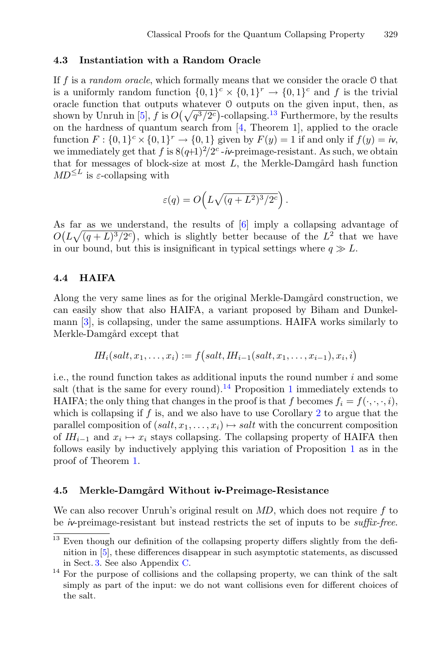#### **4.3 Instantiation with a Random Oracle**

If f is a *random oracle*, which formally means that we consider the oracle O that is a uniformly random function  $\{0,1\}^c \times \{0,1\}^r \rightarrow \{0,1\}^c$  and f is the trivial oracle function that outputs whatever O outputs on the given input, then, as shown by Unruh in [\[5](#page-23-0)], f is  $O(\sqrt{q^3/2^c})$ -collapsing.<sup>[13](#page-14-0)</sup> Furthermore, by the results on the hardness of quantum search from [\[4](#page-23-7), Theorem 1], applied to the oracle function  $F: \{0,1\}^c \times \{0,1\}^r \rightarrow \{0,1\}$  given by  $F(y) = 1$  if and only if  $f(y) = i\mathbf{v}$ , we immediately get that  $f$  is  $8(q+1)^2/2^c$  -*iv*-preimage-resistant. As such, we obtain that for messages of block-size at most  $L$ , the Merkle-Damgård hash function  $MD^{\leq L}$  is  $\varepsilon$ -collapsing with

$$
\varepsilon(q) = O\Big(L\sqrt{(q+L^2)^3/2^c}\Big).
$$

As far as we understand, the results of [\[6](#page-23-1)] imply a collapsing advantage of  $O(L\sqrt{(q+L)^3/2^c})$ , which is slightly better because of the  $L^2$  that we have in our bound, but this is insignificant in typical settings where  $q \gg L$ .

### **4.4 HAIFA**

Along the very same lines as for the original Merkle-Damgård construction, we can easily show that also HAIFA, a variant proposed by Biham and Dunkelmann [\[3](#page-23-4)], is collapsing, under the same assumptions. HAIFA works similarly to Merkle-Damgård except that

$$
IH_i(salt, x_1, \ldots, x_i) := f\big(salt, IH_{i-1}(salt, x_1, \ldots, x_{i-1}), x_i, i\big)
$$

i.e., the round function takes as additional inputs the round number  $i$  and some salt (that is the same for every round).<sup>[14](#page-14-1)</sup> Proposition [1](#page-13-1) immediately extends to HAIFA; the only thing that changes in the proof is that f becomes  $f_i = f(\cdot, \cdot, \cdot, i)$ , which is collapsing if  $f$  is, and we also have to use Corollary [2](#page-11-2) to argue that the parallel composition of  $(salt, x_1, \ldots, x_i) \mapsto salt$  with the concurrent composition of  $I H_{i-1}$  and  $x_i \mapsto x_i$  stays collapsing. The collapsing property of HAIFA then follows easily by inductively applying this variation of Proposition [1](#page-13-1) as in the proof of Theorem [1.](#page-12-2)

#### **4.5 Merkle-Damg˚ard Without iv-Preimage-Resistance**

We can also recover Unruh's original result on  $MD$ , which does not require f to be *iv*-preimage-resistant but instead restricts the set of inputs to be *suffix-free*.

<span id="page-14-0"></span> $^{13}$  Even though our definition of the collapsing property differs slightly from the definition in [\[5](#page-23-0)], these differences disappear in such asymptotic statements, as discussed in Sect. [3.](#page-7-1) See also Appendix [C.](#page-21-0)

<span id="page-14-1"></span><sup>&</sup>lt;sup>14</sup> For the purpose of collisions and the collapsing property, we can think of the salt simply as part of the input: we do not want collisions even for different choices of the salt.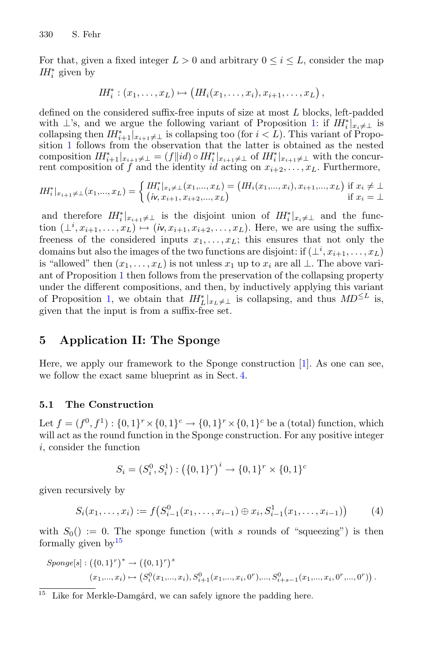330 S. Fehr

For that, given a fixed integer  $L > 0$  and arbitrary  $0 \leq i \leq L$ , consider the map  $I H_i^*$  given by

$$
IH_i^*: (x_1,\ldots,x_L)\mapsto (IH_i(x_1,\ldots,x_i),x_{i+1},\ldots,x_L),
$$

defined on the considered suffix-free inputs of size at most L blocks, left-padded with ⊥'s, and we argue the following variant of Proposition [1:](#page-13-1) if  $H_i^*|_{x_i\neq\perp}$  is collapsing then  $H_{i+1}^*|_{x_{i+1}\neq\perp}$  is collapsing too (for  $i < L$ ). This variant of Proposition [1](#page-13-1) follows from the observation that the latter is obtained as the nested composition  $IH_{i+1}^*|_{x_{i+1}\neq\perp} = (f||id) \circ IH_i^*|_{x_{i+1}\neq\perp}$  of  $IH_i^*|_{x_{i+1}\neq\perp}$  with the concurrent composition of f and the identity id acting on  $x_{i+2},...,x_L$ . Furthermore,

$$
IH_{i}^{*}|_{x_{i+1}\neq\perp}(x_{1},...,x_{L}) = \begin{cases} IH_{i}^{*}|_{x_{i}\neq\perp}(x_{1},...,x_{L}) = (IH_{i}(x_{1},...,x_{i}),x_{i+1},...,x_{L}) & \text{if } x_{i}\neq\perp \\ (iv, x_{i+1}, x_{i+2},...,x_{L}) & \text{if } x_{i}=\perp \end{cases}
$$

and therefore  $IH_i^*|_{x_{i+1}\neq \perp}$  is the disjoint union of  $IH_i^*|_{x_i\neq \perp}$  and the function  $(\perp^i, x_{i+1}, \ldots, x_L) \mapsto (i\nu, x_{i+1}, x_{i+2}, \ldots, x_L)$ . Here, we are using the suffixfreeness of the considered inputs  $x_1, \ldots, x_L$ ; this ensures that not only the domains but also the images of the two functions are disjoint: if  $(\perp^i, x_{i+1}, \ldots, x_L)$ is "allowed" then  $(x_1, \ldots, x_L)$  is not unless  $x_1$  up to  $x_i$  are all  $\perp$ . The above variant of Proposition [1](#page-13-1) then follows from the preservation of the collapsing property under the different compositions, and then, by inductively applying this variant of Proposition [1,](#page-13-1) we obtain that  $H_L^*|_{x_L\neq\perp}$  is collapsing, and thus  $MD^{\leq L}$  is, given that the input is from a suffix-free set.

### **5 Application II: The Sponge**

Here, we apply our framework to the Sponge construction [\[1\]](#page-23-3). As one can see, we follow the exact same blueprint as in Sect. [4.](#page-12-3)

#### **5.1 The Construction**

Let  $f = (f^0, f^1) : \{0, 1\}^r \times \{0, 1\}^c \rightarrow \{0, 1\}^r \times \{0, 1\}^c$  be a (total) function, which will act as the round function in the Sponge construction. For any positive integer i, consider the function

$$
S_i = (S_i^0, S_i^1) : (\{0, 1\}^r)^i \to \{0, 1\}^r \times \{0, 1\}^c
$$

given recursively by

<span id="page-15-1"></span>
$$
S_i(x_1,\ldots,x_i) := f(S_{i-1}^0(x_1,\ldots,x_{i-1}) \oplus x_i, S_{i-1}^1(x_1,\ldots,x_{i-1})) \tag{4}
$$

with  $S_0() := 0$ . The sponge function (with s rounds of "squeezing") is then formally given  $by<sup>15</sup>$  $by<sup>15</sup>$  $by<sup>15</sup>$ 

$$
Sponge[s] : (\{0,1\}^r)^* \to (\{0,1\}^r)^s
$$
  

$$
(x_1,...,x_i) \mapsto (S_i^0(x_1,...,x_i), S_{i+1}^0(x_1,...,x_i,0^r),..., S_{i+s-1}^0(x_1,...,x_i,0^r,...,0^r)).
$$

<span id="page-15-0"></span>Like for Merkle-Damgård, we can safely ignore the padding here.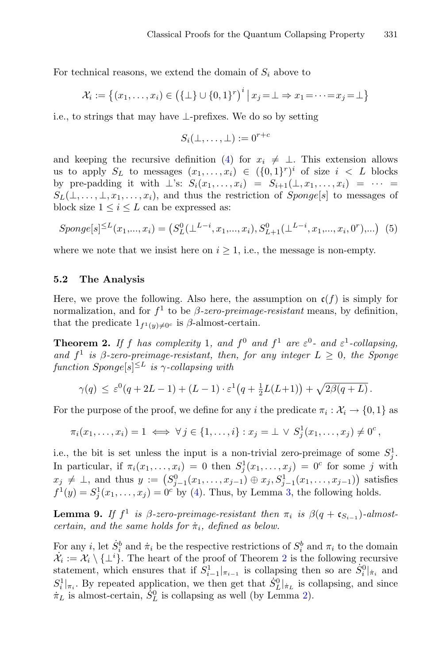For technical reasons, we extend the domain of  $S_i$  above to

$$
\mathcal{X}_i := \{(x_1, \dots, x_i) \in (\{\bot\} \cup \{0, 1\}^r)^i \mid x_j = \bot \Rightarrow x_1 = \dots = x_j = \bot\}
$$

i.e., to strings that may have ⊥-prefixes. We do so by setting

$$
S_i(\bot,\ldots,\bot):=0^{r+c}
$$

and keeping the recursive definition [\(4\)](#page-15-1) for  $x_i \neq \perp$ . This extension allows us to apply  $S_L$  to messages  $(x_1,...,x_i) \in (\{0,1\}^r)^i$  of size  $i \leq L$  blocks by pre-padding it with  $\perp$ 's:  $S_i(x_1,\ldots,x_i) = S_{i+1}(\perp,x_1,\ldots,x_i) = \cdots$  $S_L(\perp,\ldots,\perp,x_1,\ldots,x_i)$ , and thus the restriction of  $Sponge[s]$  to messages of block size  $1 \leq i \leq L$  can be expressed as:

<span id="page-16-3"></span>
$$
Sponge[s]^{\leq L}(x_1,...,x_i) = (S_L^0(\perp^{L-i}, x_1,...,x_i), S_{L+1}^0(\perp^{L-i}, x_1,...,x_i,0^r),...)
$$
 (5)

where we note that we insist here on  $i \geq 1$ , i.e., the message is non-empty.

#### **5.2 The Analysis**

Here, we prove the following. Also here, the assumption on  $c(f)$  is simply for normalization, and for  $f^1$  to be  $\beta$ -zero-preimage-resistant means, by definition, that the predicate  $1_{f^1(y)\neq 0^c}$  is  $\beta$ -almost-certain.

<span id="page-16-0"></span>**Theorem 2.** *If* f *has complexity* 1*, and*  $f^0$  *and*  $f^1$  *are*  $\varepsilon^0$ *- and*  $\varepsilon^1$ *-collapsing, and*  $f^1$  *is*  $\beta$ -zero-preimage-resistant, then, for any integer  $L \geq 0$ , the Sponge *function Sponge*[s]<sup>≤L</sup> *is* γ*-collapsing with* 

$$
\gamma(q) \leq \varepsilon^0(q+2L-1) + (L-1) \cdot \varepsilon^1\big(q + \frac{1}{2}L(L+1)\big) + \sqrt{2\beta(q+L)}.
$$

For the purpose of the proof, we define for any i the predicate  $\pi_i : \mathcal{X}_i \to \{0, 1\}$  as

$$
\pi_i(x_1,\ldots,x_i)=1 \iff \forall j\in\{1,\ldots,i\}: x_j=\perp \vee S^1_j(x_1,\ldots,x_j)\neq 0^c,
$$

i.e., the bit is set unless the input is a non-trivial zero-preimage of some  $S_j^1$ . In particular, if  $\pi_i(x_1,\ldots,x_i) = 0$  then  $S_j^1(x_1,\ldots,x_j) = 0^c$  for some j with  $x_j \neq \bot$ , and thus  $y := (S_{j-1}^0(x_1, \ldots, x_{j-1}) \oplus x_j, S_{j-1}^1(x_1, \ldots, x_{j-1}))$  satisfies  $f^1(y) = S_j^1(x_1, \ldots, x_j) = 0^c$  by [\(4\)](#page-15-1). Thus, by Lemma [3,](#page-10-2) the following holds.

<span id="page-16-2"></span>**Lemma 9.** If  $f^1$  is  $\beta$ -zero-preimage-resistant then  $\pi_i$  is  $\beta(q + \mathfrak{c}_{S_{i-1}})$ -almost*certain, and the same holds for*  $\dot{\pi}_i$ *, defined as below.* 

<span id="page-16-1"></span>For any *i*, let  $S_i^b$  and  $\pi_i$  be the respective restrictions of  $S_i^b$  and  $\pi_i$  to the domain  $\mathcal{X}_i := \mathcal{X}_i \setminus \{\perp^i\}.$  The heart of the proof of Theorem [2](#page-16-0) is the following recursive statement, which ensures that if  $S_{i-1}^1|_{\pi_{i-1}}$  is collapsing then so are  $S_i^0|_{\pi_i}$  and  $S_i^1|_{\pi_i}$ . By repeated application, we then get that  $\dot{S}_L^0|_{\pi_L}$  is collapsing, and since  $\pi_L$  is almost-certain,  $\bar{S}_L^0$  is collapsing as well (by Lemma [2\)](#page-9-1).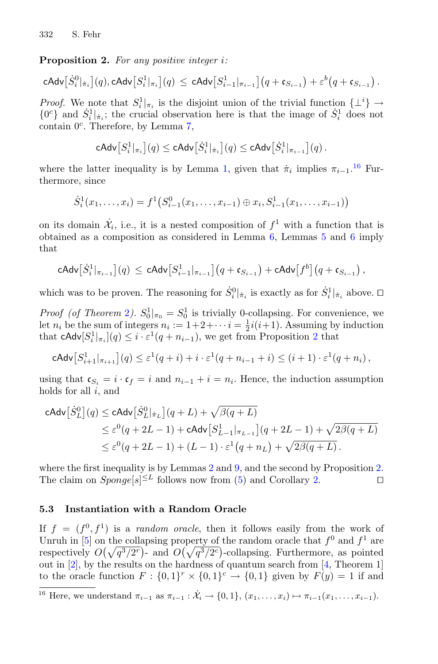#### **Proposition 2.** *For any positive integer* i*:*

$$
\mathsf{cAdv}\big[\dot{S}_i^0|_{\dot{\pi}_i}\big](q),\mathsf{cAdv}\big[S_i^1|_{\pi_i}\big](q) \, \leq \, \mathsf{cAdv}\big[S_{i-1}^1|_{\pi_{i-1}}\big]\big(q+\mathfrak{c}_{S_{i-1}}\big) + \varepsilon^b\big(q+\mathfrak{c}_{S_{i-1}}\big)\,.
$$

*Proof.* We note that  $S_i^1|_{\pi_i}$  is the disjoint union of the trivial function  $\{\perp^i\} \rightarrow$  ${0^c}$  and  $S_i^1|_{\pi_i}$ ; the crucial observation here is that the image of  $S_i^1$  does not contain  $0^c$ . Therefore, by Lemma [7,](#page-11-1)

$$
\mathsf{cAdv}\big[S_i^1|_{\pi_i}\big](q)\leq \mathsf{cAdv}\big[\dot{S}_i^1|_{\dot{\pi}_i}\big](q)\leq \mathsf{cAdv}\big[\dot{S}_i^1|_{\pi_{i-1}}\big](q)\,.
$$

where the latter inequality is by Lemma [1,](#page-9-0) given that  $\dot{\pi}_i$  implies  $\pi_{i-1}$ .<sup>[16](#page-17-0)</sup> Furthermore, since

$$
\dot{S}_i^1(x_1,\ldots,x_i) = f^1\big(S_{i-1}^0(x_1,\ldots,x_{i-1}) \oplus x_i, S_{i-1}^1(x_1,\ldots,x_{i-1})\big)
$$

on its domain  $\dot{\mathcal{X}}_i$ , i.e., it is a nested composition of  $f^1$  with a function that is obtained as a composition as considered in Lemma [6,](#page-11-0) Lemmas [5](#page-10-0) and [6](#page-11-0) imply that

$$
\mathsf{cAdv}\big[\dot{S}_i^1|_{\pi_{i-1}}\big](q) \, \leq \, \mathsf{cAdv}\big[S_{i-1}^1|_{\pi_{i-1}}\big]\big(q+\mathfrak{c}_{S_{i-1}}\big) + \mathsf{cAdv}\big[f^b\big]\big(q+\mathfrak{c}_{S_{i-1}}\big)\,,
$$

which was to be proven. The reasoning for  $\dot{S}_i^0|_{\dot{\pi}_i}$  is exactly as for  $\dot{S}_i^1|_{\dot{\pi}_i}$  above.  $\Box$ 

*Proof (of Theorem [2](#page-16-0)).*  $S_0^1|_{\pi_0} = S_0^1$  is trivially 0-collapsing. For convenience, we let  $n_i$  be the sum of integers  $n_i := 1 + 2 + \cdots i = \frac{1}{2}i(i+1)$ . Assuming by induction that  $c \text{Adv}[S_i^1 |_{\pi_i}](q) \leq i \cdot \varepsilon^1(q + n_{i-1}),$  we get from Proposition [2](#page-16-1) that

$$
\mathsf{cAdv}\big[S_{i+1}^1|_{\pi_{i+1}}\big](q) \leq \varepsilon^1(q+i) + i \cdot \varepsilon^1(q+n_{i-1}+i) \leq (i+1) \cdot \varepsilon^1(q+n_i)\,,
$$

using that  $\mathfrak{c}_{S_i} = i \cdot \mathfrak{c}_f = i$  and  $n_{i-1} + i = n_i$ . Hence, the induction assumption holds for all  $i$ , and

$$
\begin{aligned}\n\mathsf{cAdv}\big[\dot{S}_L^0\big](q) &\leq \mathsf{cAdv}\big[\dot{S}_L^0|_{\dot{\pi}_L}\big](q+L) + \sqrt{\beta(q+L)} \\
&\leq \varepsilon^0(q+2L-1) + \mathsf{cAdv}\big[S_{L-1}^1|_{\pi_{L-1}}\big](q+2L-1) + \sqrt{2\beta(q+L)} \\
&\leq \varepsilon^0(q+2L-1) + (L-1) \cdot \varepsilon^1\big(q+n_L\big) + \sqrt{2\beta(q+L)}\n\end{aligned}
$$

where the first inequality is by Lemmas [2](#page-9-1) and [9,](#page-16-2) and the second by Proposition [2.](#page-16-1) The claim on  $Sponge[s]^{\leq L}$  follows now from [\(5\)](#page-16-3) and Corollary [2.](#page-11-2)

#### **5.3 Instantiation with a Random Oracle**

If  $f = (f^0, f^1)$  is a *random oracle*, then it follows easily from the work of Unruh in [\[5](#page-23-0)] on the collapsing property of the random oracle that  $f^0$  and  $f^1$  are respectively  $O(\sqrt{q^3/2^r})$ - and  $O(\sqrt{q^3/2^c})$ -collapsing. Furthermore, as pointed out in [\[2\]](#page-23-2), by the results on the hardness of quantum search from [\[4](#page-23-7), Theorem 1] to the oracle function  $F: \{0,1\}^r \times \{0,1\}^c \rightarrow \{0,1\}$  given by  $F(y) = 1$  if and

<span id="page-17-0"></span><sup>&</sup>lt;sup>16</sup> Here, we understand  $π_{i-1}$  as  $π_{i-1}$  :  $\dot{\mathcal{X}}_i$  → {0, 1},  $(x_1, ..., x_i)$  →  $π_{i-1}(x_1, ..., x_{i-1})$ .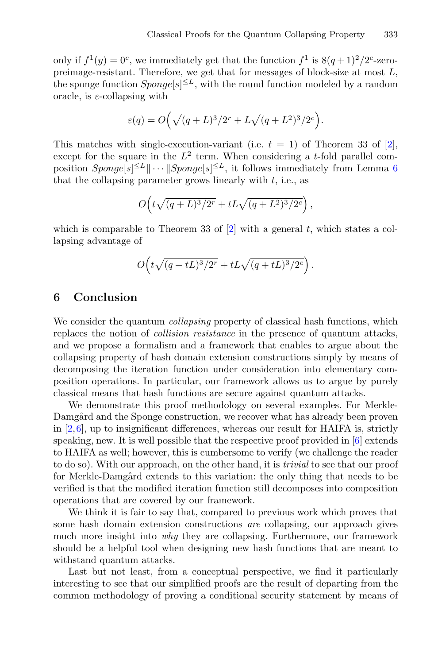,

only if  $f^1(y)=0^c$ , we immediately get that the function  $f^1$  is  $8(q + 1)^2/2^c$ -zeropreimage-resistant. Therefore, we get that for messages of block-size at most  $L$ , the sponge function  $Sponge[s]^{\leq L}$ , with the round function modeled by a random oracle, is  $\varepsilon$ -collapsing with

$$
\varepsilon(q) = O\left(\sqrt{(q+L)^3/2^r} + L\sqrt{(q+L^2)^3/2^c}\right).
$$

This matches with single-execution-variant (i.e.  $t = 1$ ) of Theorem 33 of [\[2\]](#page-23-2), except for the square in the  $L^2$  term. When considering a t-fold parallel composition  $Sponge[s]^{\leq L} \parallel \cdots \parallel Sponge[s]^{\leq L}$ , it follows immediately from Lemma [6](#page-11-0) that the collapsing parameter grows linearly with  $t$ , i.e., as

$$
O\Big(t\sqrt{(q+L)^3/2^r} + tL\sqrt{(q+L^2)^3/2^c}\Big)
$$

which is comparable to Theorem 33 of  $[2]$  with a general t, which states a collapsing advantage of

$$
O\left(t\sqrt{(q+tL)^3/2^r}+tL\sqrt{(q+tL)^3/2^c}\right).
$$

### **6 Conclusion**

We consider the quantum *collapsing* property of classical hash functions, which replaces the notion of *collision resistance* in the presence of quantum attacks, and we propose a formalism and a framework that enables to argue about the collapsing property of hash domain extension constructions simply by means of decomposing the iteration function under consideration into elementary composition operations. In particular, our framework allows us to argue by purely classical means that hash functions are secure against quantum attacks.

We demonstrate this proof methodology on several examples. For Merkle-Damgård and the Sponge construction, we recover what has already been proven in  $[2,6]$  $[2,6]$ , up to insignificant differences, whereas our result for HAIFA is, strictly speaking, new. It is well possible that the respective proof provided in [\[6](#page-23-1)] extends to HAIFA as well; however, this is cumbersome to verify (we challenge the reader to do so). With our approach, on the other hand, it is *trivial* to see that our proof for Merkle-Damgård extends to this variation: the only thing that needs to be verified is that the modified iteration function still decomposes into composition operations that are covered by our framework.

We think it is fair to say that, compared to previous work which proves that some hash domain extension constructions *are* collapsing, our approach gives much more insight into *why* they are collapsing. Furthermore, our framework should be a helpful tool when designing new hash functions that are meant to withstand quantum attacks.

Last but not least, from a conceptual perspective, we find it particularly interesting to see that our simplified proofs are the result of departing from the common methodology of proving a conditional security statement by means of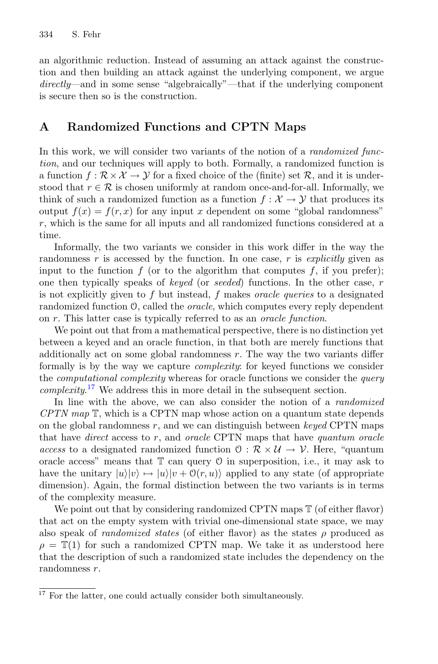an algorithmic reduction. Instead of assuming an attack against the construction and then building an attack against the underlying component, we argue *directly*—and in some sense "algebraically"—that if the underlying component is secure then so is the construction.

# <span id="page-19-0"></span>**A Randomized Functions and CPTN Maps**

In this work, we will consider two variants of the notion of a *randomized function*, and our techniques will apply to both. Formally, a randomized function is a function  $f : \mathcal{R} \times \mathcal{X} \to \mathcal{Y}$  for a fixed choice of the (finite) set  $\mathcal{R}$ , and it is understood that  $r \in \mathcal{R}$  is chosen uniformly at random once-and-for-all. Informally, we think of such a randomized function as a function  $f : \mathcal{X} \to \mathcal{Y}$  that produces its output  $f(x) = f(r, x)$  for any input x dependent on some "global randomness" r, which is the same for all inputs and all randomized functions considered at a time.

Informally, the two variants we consider in this work differ in the way the randomness r is accessed by the function. In one case, r is *explicitly* given as input to the function f (or to the algorithm that computes f, if you prefer); one then typically speaks of *keyed* (or *seeded*) functions. In the other case, r is not explicitly given to f but instead, f makes *oracle queries* to a designated randomized function O, called the *oracle*, which computes every reply dependent on r. This latter case is typically referred to as an *oracle function*.

We point out that from a mathematical perspective, there is no distinction yet between a keyed and an oracle function, in that both are merely functions that additionally act on some global randomness  $r$ . The way the two variants differ formally is by the way we capture *complexity*: for keyed functions we consider the *computational complexity* whereas for oracle functions we consider the *query complexity*. [17](#page-19-1) We address this in more detail in the subsequent section.

In line with the above, we can also consider the notion of a *randomized CPTN map* T, which is a CPTN map whose action on a quantum state depends on the global randomness r, and we can distinguish between *keyed* CPTN maps that have *direct* access to r, and *oracle* CPTN maps that have *quantum oracle access* to a designated randomized function  $0: \mathcal{R} \times \mathcal{U} \rightarrow \mathcal{V}$ . Here, "quantum oracle access" means that  $\mathbb T$  can query  $\mathcal O$  in superposition, i.e., it may ask to have the unitary  $|u\rangle|v\rangle \mapsto |u\rangle|v + \mathcal{O}(r, u)\rangle$  applied to any state (of appropriate dimension). Again, the formal distinction between the two variants is in terms of the complexity measure.

We point out that by considering randomized CPTN maps  $\mathbb T$  (of either flavor) that act on the empty system with trivial one-dimensional state space, we may also speak of *randomized states* (of either flavor) as the states  $\rho$  produced as  $\rho = \mathbb{T}(1)$  for such a randomized CPTN map. We take it as understood here that the description of such a randomized state includes the dependency on the randomness r.

<span id="page-19-1"></span> $^{17}$  For the latter, one could actually consider both simultaneously.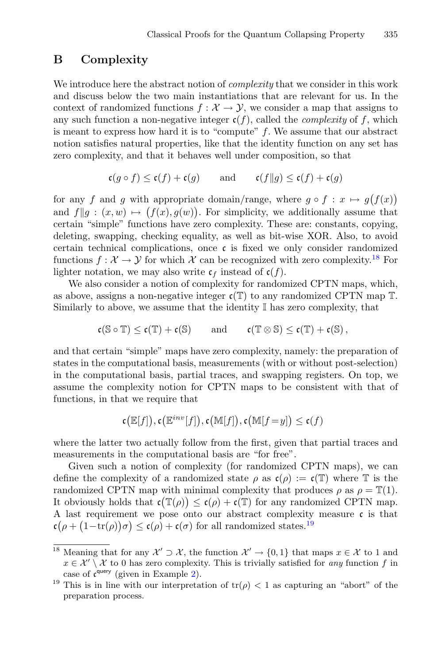### <span id="page-20-0"></span>**B Complexity**

We introduce here the abstract notion of *complexity* that we consider in this work and discuss below the two main instantiations that are relevant for us. In the context of randomized functions  $f : \mathcal{X} \to \mathcal{Y}$ , we consider a map that assigns to any such function a non-negative integer  $c(f)$ , called the *complexity* of f, which is meant to express how hard it is to "compute"  $f$ . We assume that our abstract notion satisfies natural properties, like that the identity function on any set has zero complexity, and that it behaves well under composition, so that

$$
\mathfrak{c}(g \circ f) \leq \mathfrak{c}(f) + \mathfrak{c}(g)
$$
 and  $\mathfrak{c}(f||g) \leq \mathfrak{c}(f) + \mathfrak{c}(g)$ 

for any f and g with appropriate domain/range, where  $g \circ f : x \mapsto g(f(x))$ and  $f||g:(x,w)\mapsto (f(x),g(w))$ . For simplicity, we additionally assume that certain "simple" functions have zero complexity. These are: constants, copying, deleting, swapping, checking equality, as well as bit-wise XOR. Also, to avoid certain technical complications, once  $\mathfrak c$  is fixed we only consider randomized functions  $f: \mathcal{X} \to \mathcal{Y}$  for which X can be recognized with zero complexity.<sup>[18](#page-20-1)</sup> For lighter notation, we may also write  $\mathfrak{c}_f$  instead of  $\mathfrak{c}(f)$ .

We also consider a notion of complexity for randomized CPTN maps, which, as above, assigns a non-negative integer  $c(\mathbb{T})$  to any randomized CPTN map  $\mathbb{T}$ . Similarly to above, we assume that the identity  $\mathbb I$  has zero complexity, that

$$
\mathfrak{c}(\mathbb{S} \circ \mathbb{T}) \leq \mathfrak{c}(\mathbb{T}) + \mathfrak{c}(\mathbb{S}) \qquad \text{and} \qquad \mathfrak{c}(\mathbb{T} \otimes \mathbb{S}) \leq \mathfrak{c}(\mathbb{T}) + \mathfrak{c}(\mathbb{S})\,,
$$

and that certain "simple" maps have zero complexity, namely: the preparation of states in the computational basis, measurements (with or without post-selection) in the computational basis, partial traces, and swapping registers. On top, we assume the complexity notion for CPTN maps to be consistent with that of functions, in that we require that

$$
\mathfrak{c}\big(\mathbb{E}[f]\big), \mathfrak{c}\big(\mathbb{E}^{inv}[f]\big), \mathfrak{c}\big(\mathbb{M}[f]\big), \mathfrak{c}\big(\mathbb{M}[f\!=\!y]\big) \leq \mathfrak{c}(f)
$$

where the latter two actually follow from the first, given that partial traces and measurements in the computational basis are "for free".

Given such a notion of complexity (for randomized CPTN maps), we can define the complexity of a randomized state  $\rho$  as  $\mathfrak{c}(\rho) := \mathfrak{c}(\mathbb{T})$  where  $\mathbb T$  is the randomized CPTN map with minimal complexity that produces  $\rho$  as  $\rho = \mathbb{T}(1)$ . It obviously holds that  $\mathfrak{c}(\mathbb{T}(\rho)) \leq \mathfrak{c}(\rho) + \mathfrak{c}(\mathbb{T})$  for any randomized CPTN map. A last requirement we pose onto our abstract complexity measure  $\mathfrak{c}$  is that  $\mathfrak{c}(\rho + (1 - \text{tr}(\rho))\sigma) \leq \mathfrak{c}(\rho) + \mathfrak{c}(\sigma)$  for all randomized states.<sup>[19](#page-20-2)</sup>

<span id="page-20-1"></span><sup>&</sup>lt;sup>18</sup> Meaning that for any  $\mathcal{X}' \supset \mathcal{X}$ , the function  $\mathcal{X}' \to \{0,1\}$  that maps  $x \in \mathcal{X}$  to 1 and  $x \in \mathcal{X}' \setminus \mathcal{X}$  to 0 has zero complexity. This is trivially satisfied for *any* function f in case of  $\mathfrak{c}^{\text{query}}$  (given in Example [2\)](#page-21-1).

<span id="page-20-2"></span><sup>&</sup>lt;sup>19</sup> This is in line with our interpretation of  $tr(\rho)$  < 1 as capturing an "abort" of the preparation process.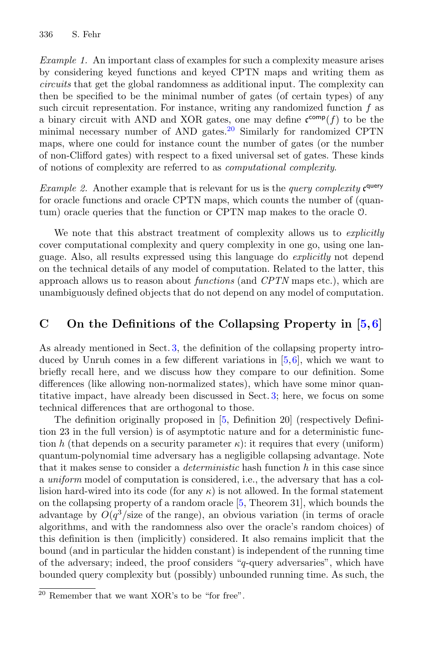*Example 1.* An important class of examples for such a complexity measure arises by considering keyed functions and keyed CPTN maps and writing them as *circuits* that get the global randomness as additional input. The complexity can then be specified to be the minimal number of gates (of certain types) of any such circuit representation. For instance, writing any randomized function  $f$  as a binary circuit with AND and XOR gates, one may define  $\mathfrak{c}^{\text{comp}}(f)$  to be the minimal necessary number of AND gates.<sup>[20](#page-21-2)</sup> Similarly for randomized CPTN maps, where one could for instance count the number of gates (or the number of non-Clifford gates) with respect to a fixed universal set of gates. These kinds of notions of complexity are referred to as *computational complexity*.

<span id="page-21-1"></span>*Example 2.* Another example that is relevant for us is the *query complexity*  $\zeta^{query}$ for oracle functions and oracle CPTN maps, which counts the number of (quantum) oracle queries that the function or CPTN map makes to the oracle O.

We note that this abstract treatment of complexity allows us to *explicitly* cover computational complexity and query complexity in one go, using one language. Also, all results expressed using this language do *explicitly* not depend on the technical details of any model of computation. Related to the latter, this approach allows us to reason about *functions* (and *CPTN* maps etc.), which are unambiguously defined objects that do not depend on any model of computation.

# <span id="page-21-0"></span>**C On the Definitions of the Collapsing Property in [\[5](#page-23-0),[6](#page-23-1)]**

As already mentioned in Sect. [3,](#page-7-1) the definition of the collapsing property introduced by Unruh comes in a few different variations in  $[5,6]$  $[5,6]$  $[5,6]$ , which we want to briefly recall here, and we discuss how they compare to our definition. Some differences (like allowing non-normalized states), which have some minor quantitative impact, have already been discussed in Sect. [3;](#page-7-1) here, we focus on some technical differences that are orthogonal to those.

The definition originally proposed in [\[5](#page-23-0), Definition 20] (respectively Definition 23 in the full version) is of asymptotic nature and for a deterministic function h (that depends on a security parameter  $\kappa$ ): it requires that every (uniform) quantum-polynomial time adversary has a negligible collapsing advantage. Note that it makes sense to consider a *deterministic* hash function h in this case since a *uniform* model of computation is considered, i.e., the adversary that has a collision hard-wired into its code (for any  $\kappa$ ) is not allowed. In the formal statement on the collapsing property of a random oracle [\[5,](#page-23-0) Theorem 31], which bounds the advantage by  $O(q^3)$  size of the range), an obvious variation (in terms of oracle algorithms, and with the randomness also over the oracle's random choices) of this definition is then (implicitly) considered. It also remains implicit that the bound (and in particular the hidden constant) is independent of the running time of the adversary; indeed, the proof considers "q-query adversaries", which have bounded query complexity but (possibly) unbounded running time. As such, the

<span id="page-21-2"></span><sup>20</sup> Remember that we want XOR's to be "for free".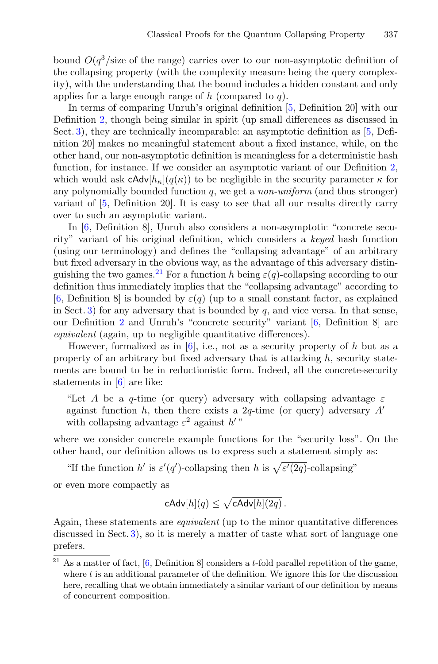bound  $O(q^3)$  size of the range) carries over to our non-asymptotic definition of the collapsing property (with the complexity measure being the query complexity), with the understanding that the bound includes a hidden constant and only applies for a large enough range of  $h$  (compared to  $q$ ).

In terms of comparing Unruh's original definition [\[5](#page-23-0), Definition 20] with our Definition [2,](#page-8-2) though being similar in spirit (up small differences as discussed in Sect. [3\)](#page-7-1), they are technically incomparable: an asymptotic definition as [\[5,](#page-23-0) Definition 20] makes no meaningful statement about a fixed instance, while, on the other hand, our non-asymptotic definition is meaningless for a deterministic hash function, for instance. If we consider an asymptotic variant of our Definition [2,](#page-8-2) which would ask  $c\text{Adv}[h_{\kappa}](q(\kappa))$  to be negligible in the security parameter  $\kappa$  for any polynomially bounded function q, we get a *non-uniform* (and thus stronger) variant of [\[5](#page-23-0), Definition 20]. It is easy to see that all our results directly carry over to such an asymptotic variant.

In [\[6](#page-23-1), Definition 8], Unruh also considers a non-asymptotic "concrete security" variant of his original definition, which considers a *keyed* hash function (using our terminology) and defines the "collapsing advantage" of an arbitrary but fixed adversary in the obvious way, as the advantage of this adversary distin-guishing the two games.<sup>[21](#page-22-0)</sup> For a function h being  $\varepsilon(q)$ -collapsing according to our definition thus immediately implies that the "collapsing advantage" according to [\[6](#page-23-1), Definition 8] is bounded by  $\varepsilon(q)$  (up to a small constant factor, as explained in Sect. [3\)](#page-7-1) for any adversary that is bounded by  $q$ , and vice versa. In that sense, our Definition [2](#page-8-2) and Unruh's "concrete security" variant [\[6,](#page-23-1) Definition 8] are *equivalent* (again, up to negligible quantitative differences).

However, formalized as in  $[6]$ , i.e., not as a security property of h but as a property of an arbitrary but fixed adversary that is attacking  $h$ , security statements are bound to be in reductionistic form. Indeed, all the concrete-security statements in [\[6](#page-23-1)] are like:

"Let A be a q-time (or query) adversary with collapsing advantage  $\varepsilon$ against function  $h$ , then there exists a 2q-time (or query) adversary  $A'$ with collapsing advantage  $\varepsilon^2$  against h'"

where we consider concrete example functions for the "security loss". On the other hand, our definition allows us to express such a statement simply as:

"If the function h' is  $\varepsilon'(q')$ -collapsing then h is  $\sqrt{\varepsilon'(2q)}$ -collapsing"

or even more compactly as

$$
\mathsf{cAdv}[h](q) \leq \sqrt{\mathsf{cAdv}[h](2q)}\,.
$$

Again, these statements are *equivalent* (up to the minor quantitative differences discussed in Sect. [3\)](#page-7-1), so it is merely a matter of taste what sort of language one prefers.

<span id="page-22-0"></span> $\overline{a_1}$  As a matter of fact, [\[6](#page-23-1), Definition 8] considers a t-fold parallel repetition of the game, where  $t$  is an additional parameter of the definition. We ignore this for the discussion here, recalling that we obtain immediately a similar variant of our definition by means of concurrent composition.